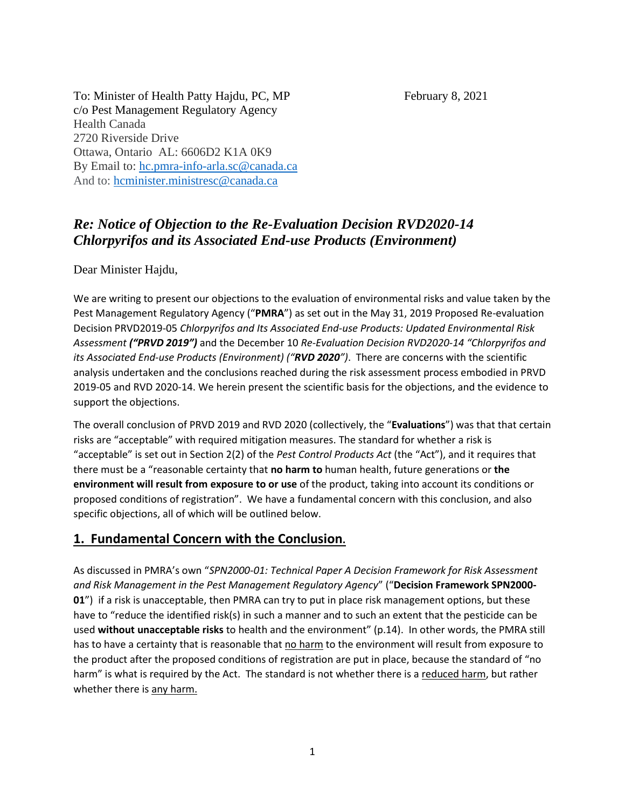To: Minister of Health Patty Hajdu, PC, MP February 8, 2021 c/o Pest Management Regulatory Agency Health Canada 2720 Riverside Drive Ottawa, Ontario AL: 6606D2 K1A 0K9 By Email to: [hc.pmra-info-arla.sc@canada.ca](mailto:hc.pmra-info-arla.sc@canada.ca) And to: [hcminister.ministresc@canada.ca](mailto:hcminister.ministresc@canada.ca)

# *Re: Notice of Objection to the Re-Evaluation Decision RVD2020-14 Chlorpyrifos and its Associated End-use Products (Environment)*

Dear Minister Hajdu,

We are writing to present our objections to the evaluation of environmental risks and value taken by the Pest Management Regulatory Agency ("**PMRA**") as set out in the May 31, 2019 Proposed Re-evaluation Decision PRVD2019-05 *Chlorpyrifos and Its Associated End-use Products: Updated Environmental Risk Assessment ("PRVD 2019")* and the December 10 *Re-Evaluation Decision RVD2020-14 "Chlorpyrifos and its Associated End-use Products (Environment) ("RVD 2020")*. There are concerns with the scientific analysis undertaken and the conclusions reached during the risk assessment process embodied in PRVD 2019-05 and RVD 2020-14. We herein present the scientific basis for the objections, and the evidence to support the objections.

The overall conclusion of PRVD 2019 and RVD 2020 (collectively, the "**Evaluations**") was that that certain risks are "acceptable" with required mitigation measures. The standard for whether a risk is "acceptable" is set out in Section 2(2) of the *Pest Control Products Act* (the "Act"), and it requires that there must be a "reasonable certainty that **no harm to** human health, future generations or **the environment will result from exposure to or use** of the product, taking into account its conditions or proposed conditions of registration". We have a fundamental concern with this conclusion, and also specific objections, all of which will be outlined below.

## **1. Fundamental Concern with the Conclusion.**

As discussed in PMRA's own "*SPN2000-01: Technical Paper A Decision Framework for Risk Assessment and Risk Management in the Pest Management Regulatory Agency*" ("**Decision Framework SPN2000- 01**") if a risk is unacceptable, then PMRA can try to put in place risk management options, but these have to "reduce the identified risk(s) in such a manner and to such an extent that the pesticide can be used **without unacceptable risks** to health and the environment" (p.14). In other words, the PMRA still has to have a certainty that is reasonable that no harm to the environment will result from exposure to the product after the proposed conditions of registration are put in place, because the standard of "no harm" is what is required by the Act. The standard is not whether there is a reduced harm, but rather whether there is any harm.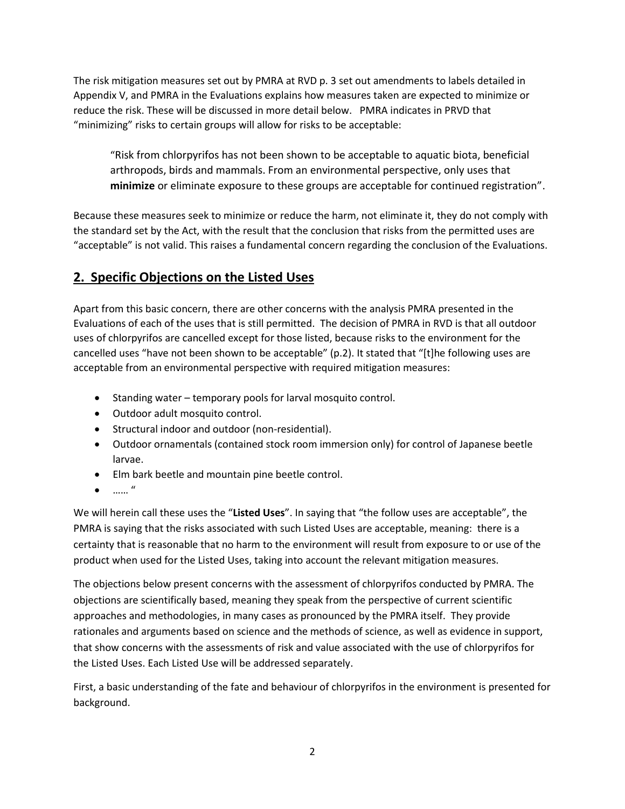The risk mitigation measures set out by PMRA at RVD p. 3 set out amendments to labels detailed in Appendix V, and PMRA in the Evaluations explains how measures taken are expected to minimize or reduce the risk. These will be discussed in more detail below. PMRA indicates in PRVD that "minimizing" risks to certain groups will allow for risks to be acceptable:

"Risk from chlorpyrifos has not been shown to be acceptable to aquatic biota, beneficial arthropods, birds and mammals. From an environmental perspective, only uses that **minimize** or eliminate exposure to these groups are acceptable for continued registration".

Because these measures seek to minimize or reduce the harm, not eliminate it, they do not comply with the standard set by the Act, with the result that the conclusion that risks from the permitted uses are "acceptable" is not valid. This raises a fundamental concern regarding the conclusion of the Evaluations.

## **2. Specific Objections on the Listed Uses**

Apart from this basic concern, there are other concerns with the analysis PMRA presented in the Evaluations of each of the uses that is still permitted. The decision of PMRA in RVD is that all outdoor uses of chlorpyrifos are cancelled except for those listed, because risks to the environment for the cancelled uses "have not been shown to be acceptable" (p.2). It stated that "[t]he following uses are acceptable from an environmental perspective with required mitigation measures:

- Standing water temporary pools for larval mosquito control.
- Outdoor adult mosquito control.
- Structural indoor and outdoor (non-residential).
- Outdoor ornamentals (contained stock room immersion only) for control of Japanese beetle larvae.
- Elm bark beetle and mountain pine beetle control.
- …… "

We will herein call these uses the "**Listed Uses**". In saying that "the follow uses are acceptable", the PMRA is saying that the risks associated with such Listed Uses are acceptable, meaning: there is a certainty that is reasonable that no harm to the environment will result from exposure to or use of the product when used for the Listed Uses, taking into account the relevant mitigation measures.

The objections below present concerns with the assessment of chlorpyrifos conducted by PMRA. The objections are scientifically based, meaning they speak from the perspective of current scientific approaches and methodologies, in many cases as pronounced by the PMRA itself. They provide rationales and arguments based on science and the methods of science, as well as evidence in support, that show concerns with the assessments of risk and value associated with the use of chlorpyrifos for the Listed Uses. Each Listed Use will be addressed separately.

First, a basic understanding of the fate and behaviour of chlorpyrifos in the environment is presented for background.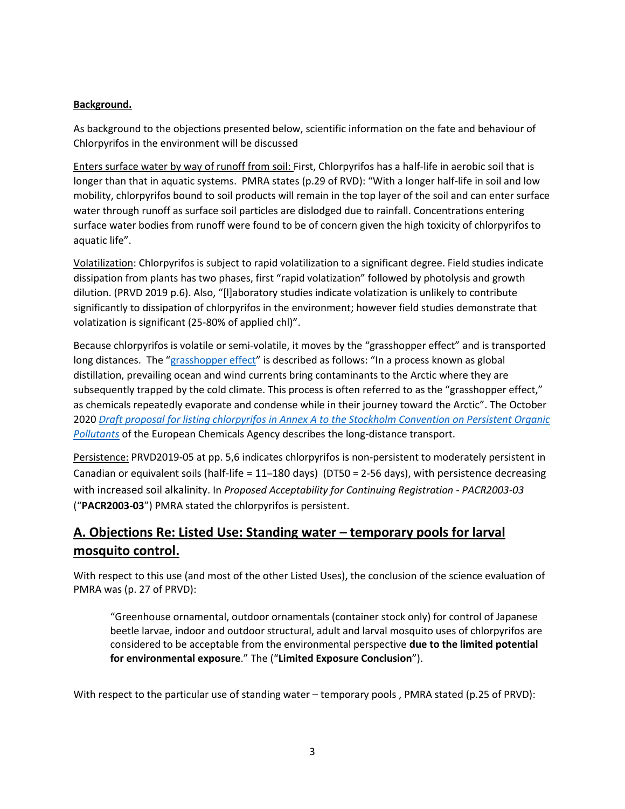### **Background.**

As background to the objections presented below, scientific information on the fate and behaviour of Chlorpyrifos in the environment will be discussed

Enters surface water by way of runoff from soil: First, Chlorpyrifos has a half-life in aerobic soil that is longer than that in aquatic systems. PMRA states (p.29 of RVD): "With a longer half-life in soil and low mobility, chlorpyrifos bound to soil products will remain in the top layer of the soil and can enter surface water through runoff as surface soil particles are dislodged due to rainfall. Concentrations entering surface water bodies from runoff were found to be of concern given the high toxicity of chlorpyrifos to aquatic life".

Volatilization: Chlorpyrifos is subject to rapid volatilization to a significant degree. Field studies indicate dissipation from plants has two phases, first "rapid volatization" followed by photolysis and growth dilution. (PRVD 2019 p.6). Also, "[l]aboratory studies indicate volatization is unlikely to contribute significantly to dissipation of chlorpyrifos in the environment; however field studies demonstrate that volatization is significant (25-80% of applied chl)".

Because chlorpyrifos is volatile or semi-volatile, it moves by the "grasshopper effect" and is transported long distances. The "[grasshopper effect](https://www.akaction.org/tackling_toxics/world/global_transport_toxics_arctic/#:~:text=Global%20Transport%3A%20the%20%E2%80%9CGrasshopper%20Effect,is%20a%20well%2Ddocumented%20phenomenon.&text=This%20process%20is%20often%20referred,their%20journey%20toward%20the%20Arctic.)" is described as follows: "In a process known as global distillation, prevailing ocean and wind currents bring contaminants to the Arctic where they are subsequently trapped by the cold climate. This process is often referred to as the "grasshopper effect," as chemicals repeatedly evaporate and condense while in their journey toward the Arctic". The October 2020 *[Draft proposal for listing chlorpyrifos in Annex A to the Stockholm Convention on Persistent Organic](https://echa.europa.eu/documents/10162/bb4342c2-64f1-d184-e8d8-334f02842f9b)  [Pollutants](https://echa.europa.eu/documents/10162/bb4342c2-64f1-d184-e8d8-334f02842f9b)* of the European Chemicals Agency describes the long-distance transport.

Persistence: PRVD2019-05 at pp. 5,6 indicates chlorpyrifos is non-persistent to moderately persistent in Canadian or equivalent soils (half-life = 11–180 days) (DT50 = 2-56 days), with persistence decreasing with increased soil alkalinity. In *Proposed Acceptability for Continuing Registration - PACR2003-03* ("**PACR2003-03**") PMRA stated the chlorpyrifos is persistent.

# **A. Objections Re: Listed Use: Standing water – temporary pools for larval mosquito control.**

With respect to this use (and most of the other Listed Uses), the conclusion of the science evaluation of PMRA was (p. 27 of PRVD):

"Greenhouse ornamental, outdoor ornamentals (container stock only) for control of Japanese beetle larvae, indoor and outdoor structural, adult and larval mosquito uses of chlorpyrifos are considered to be acceptable from the environmental perspective **due to the limited potential for environmental exposure**." The ("**Limited Exposure Conclusion**").

With respect to the particular use of standing water – temporary pools , PMRA stated (p.25 of PRVD):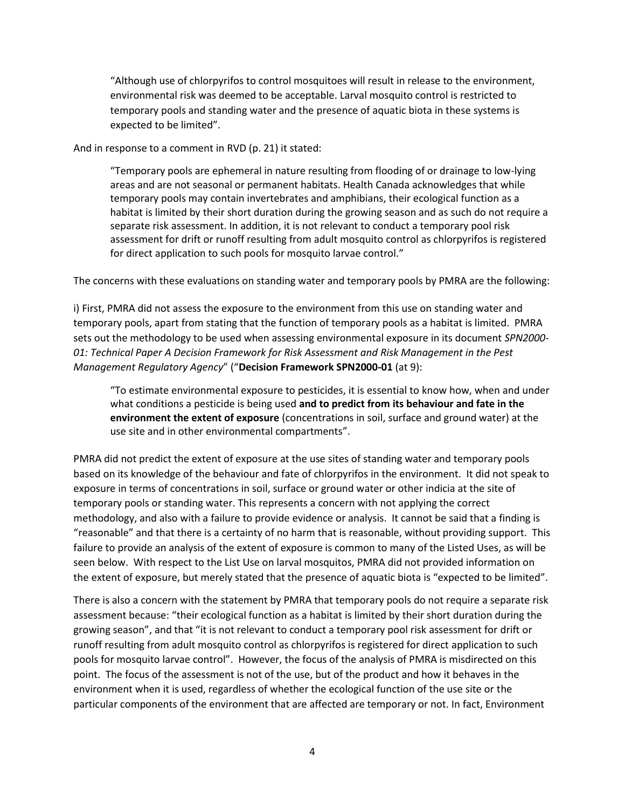"Although use of chlorpyrifos to control mosquitoes will result in release to the environment, environmental risk was deemed to be acceptable. Larval mosquito control is restricted to temporary pools and standing water and the presence of aquatic biota in these systems is expected to be limited".

And in response to a comment in RVD (p. 21) it stated:

"Temporary pools are ephemeral in nature resulting from flooding of or drainage to low-lying areas and are not seasonal or permanent habitats. Health Canada acknowledges that while temporary pools may contain invertebrates and amphibians, their ecological function as a habitat is limited by their short duration during the growing season and as such do not require a separate risk assessment. In addition, it is not relevant to conduct a temporary pool risk assessment for drift or runoff resulting from adult mosquito control as chlorpyrifos is registered for direct application to such pools for mosquito larvae control."

The concerns with these evaluations on standing water and temporary pools by PMRA are the following:

i) First, PMRA did not assess the exposure to the environment from this use on standing water and temporary pools, apart from stating that the function of temporary pools as a habitat is limited. PMRA sets out the methodology to be used when assessing environmental exposure in its document *SPN2000- 01: Technical Paper A Decision Framework for Risk Assessment and Risk Management in the Pest Management Regulatory Agency*" ("**Decision Framework SPN2000-01** (at 9):

"To estimate environmental exposure to pesticides, it is essential to know how, when and under what conditions a pesticide is being used **and to predict from its behaviour and fate in the environment the extent of exposure** (concentrations in soil, surface and ground water) at the use site and in other environmental compartments".

PMRA did not predict the extent of exposure at the use sites of standing water and temporary pools based on its knowledge of the behaviour and fate of chlorpyrifos in the environment. It did not speak to exposure in terms of concentrations in soil, surface or ground water or other indicia at the site of temporary pools or standing water. This represents a concern with not applying the correct methodology, and also with a failure to provide evidence or analysis. It cannot be said that a finding is "reasonable" and that there is a certainty of no harm that is reasonable, without providing support. This failure to provide an analysis of the extent of exposure is common to many of the Listed Uses, as will be seen below. With respect to the List Use on larval mosquitos, PMRA did not provided information on the extent of exposure, but merely stated that the presence of aquatic biota is "expected to be limited".

There is also a concern with the statement by PMRA that temporary pools do not require a separate risk assessment because: "their ecological function as a habitat is limited by their short duration during the growing season", and that "it is not relevant to conduct a temporary pool risk assessment for drift or runoff resulting from adult mosquito control as chlorpyrifos is registered for direct application to such pools for mosquito larvae control". However, the focus of the analysis of PMRA is misdirected on this point. The focus of the assessment is not of the use, but of the product and how it behaves in the environment when it is used, regardless of whether the ecological function of the use site or the particular components of the environment that are affected are temporary or not. In fact, Environment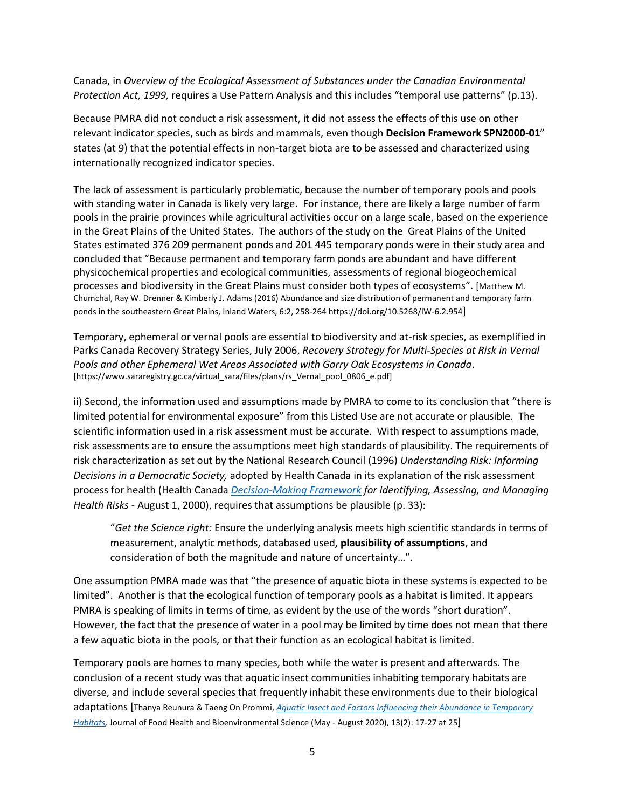Canada, in *Overview of the Ecological Assessment of Substances under the Canadian Environmental Protection Act, 1999,* requires a Use Pattern Analysis and this includes "temporal use patterns" (p.13).

Because PMRA did not conduct a risk assessment, it did not assess the effects of this use on other relevant indicator species, such as birds and mammals, even though **Decision Framework SPN2000-01**" states (at 9) that the potential effects in non-target biota are to be assessed and characterized using internationally recognized indicator species.

The lack of assessment is particularly problematic, because the number of temporary pools and pools with standing water in Canada is likely very large.For instance, there are likely a large number of farm pools in the prairie provinces while agricultural activities occur on a large scale, based on the experience in the Great Plains of the United States. The authors of the study on the Great Plains of the United States estimated 376 209 permanent ponds and 201 445 temporary ponds were in their study area and concluded that "Because permanent and temporary farm ponds are abundant and have different physicochemical properties and ecological communities, assessments of regional biogeochemical processes and biodiversity in the Great Plains must consider both types of ecosystems". [Matthew M. Chumchal, Ray W. Drenner & Kimberly J. Adams (2016) Abundance and size distribution of permanent and temporary farm ponds in the southeastern Great Plains, Inland Waters, 6:2, 258-264<https://doi.org/10.5268/IW-6.2.954>]

Temporary, ephemeral or vernal pools are essential to biodiversity and at-risk species, as exemplified in Parks Canada Recovery Strategy Series, July 2006, *Recovery Strategy for Multi-Species at Risk in Vernal Pools and other Ephemeral Wet Areas Associated with Garry Oak Ecosystems in Canada*. [https://www.sararegistry.gc.ca/virtual\_sara/files/plans/rs\_Vernal\_pool\_0806\_e.pdf]

ii) Second, the information used and assumptions made by PMRA to come to its conclusion that "there is limited potential for environmental exposure" from this Listed Use are not accurate or plausible. The scientific information used in a risk assessment must be accurate. With respect to assumptions made, risk assessments are to ensure the assumptions meet high standards of plausibility. The requirements of risk characterization as set out by the National Research Council (1996) *Understanding Risk: Informing Decisions in a Democratic Society,* adopted by Health Canada in its explanation of the risk assessment process for health (Health Canada *[Decision-Making Framework](https://www.canada.ca/en/health-canada/corporate/about-health-canada/reports-publications/health-products-food-branch/health-canada-decision-making-framework-identifying-assessing-managing-health-risks.html#a21) for Identifying, Assessing, and Managing Health Risks* - August 1, 2000), requires that assumptions be plausible (p. 33):

"*Get the Science right:* Ensure the underlying analysis meets high scientific standards in terms of measurement, analytic methods, databased used**, plausibility of assumptions**, and consideration of both the magnitude and nature of uncertainty…".

One assumption PMRA made was that "the presence of aquatic biota in these systems is expected to be limited". Another is that the ecological function of temporary pools as a habitat is limited. It appears PMRA is speaking of limits in terms of time, as evident by the use of the words "short duration". However, the fact that the presence of water in a pool may be limited by time does not mean that there a few aquatic biota in the pools, or that their function as an ecological habitat is limited.

Temporary pools are homes to many species, both while the water is present and afterwards. The conclusion of a recent study was that aquatic insect communities inhabiting temporary habitats are diverse, and include several species that frequently inhabit these environments due to their biological adaptations [Thanya Reunura & Taeng On Prommi, *[Aquatic Insect and Factors Influencing their Abundance in Temporary](http://www.researchold.dusit.ac.th/new/e-Journal/inner-detail.php?inid=703&page=1&type=a)  [Habitats,](http://www.researchold.dusit.ac.th/new/e-Journal/inner-detail.php?inid=703&page=1&type=a)* Journal of Food Health and Bioenvironmental Science (May - August 2020), 13(2): 17-27 at 25]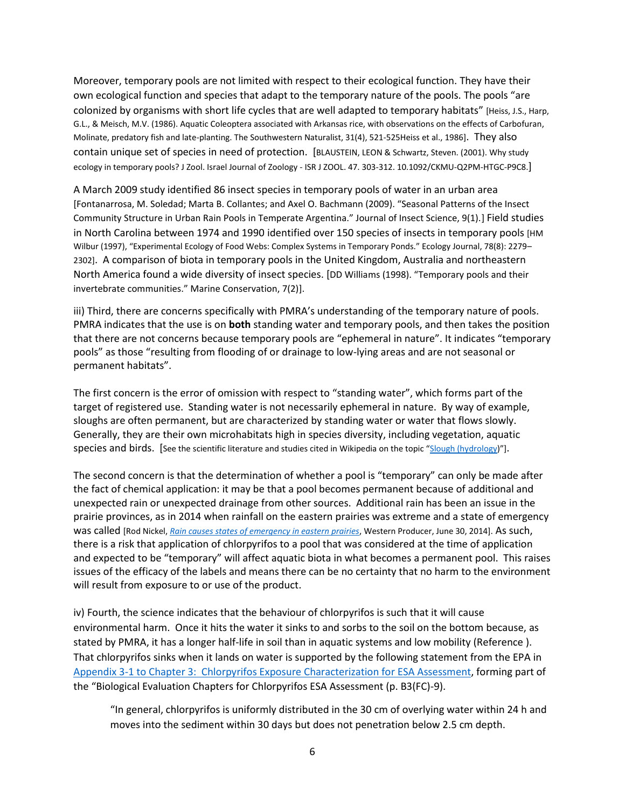Moreover, temporary pools are not limited with respect to their ecological function. They have their own ecological function and species that adapt to the temporary nature of the pools. The pools "are colonized by organisms with short life cycles that are well adapted to temporary habitats" [Heiss, J.S., Harp, G.L., & Meisch, M.V. (1986). Aquatic Coleoptera associated with Arkansas rice, with observations on the effects of Carbofuran, Molinate, predatory fish and late-planting. The Southwestern Naturalist, 31(4), 521-525Heiss et al., 1986]. They also contain unique set of species in need of protection. [BLAUSTEIN, LEON & Schwartz, Steven. (2001). Why study ecology in temporary pools? J Zool. Israel Journal of Zoology - ISR J ZOOL. 47. 303-312. 10.1092/CKMU-Q2PM-HTGC-P9C8.]

A March 2009 study identified 86 insect species in temporary pools of water in an urban area [Fontanarrosa, M. Soledad; Marta B. Collantes; and Axel O. Bachmann (2009). "Seasonal Patterns of the Insect Community Structure in Urban Rain Pools in Temperate Argentina." Journal of Insect Science, 9(1).] Field studies in North Carolina between 1974 and 1990 identified over 150 species of insects in temporary pools [HM Wilbur (1997), "Experimental Ecology of Food Webs: Complex Systems in Temporary Ponds." Ecology Journal, 78(8): 2279– 2302]. A comparison of biota in temporary pools in the United Kingdom, Australia and northeastern North America found a wide diversity of insect species. [DD Williams (1998). "Temporary pools and their invertebrate communities." Marine Conservation, 7(2)].

iii) Third, there are concerns specifically with PMRA's understanding of the temporary nature of pools. PMRA indicates that the use is on **both** standing water and temporary pools, and then takes the position that there are not concerns because temporary pools are "ephemeral in nature". It indicates "temporary pools" as those "resulting from flooding of or drainage to low-lying areas and are not seasonal or permanent habitats".

The first concern is the error of omission with respect to "standing water", which forms part of the target of registered use. Standing water is not necessarily ephemeral in nature. By way of example, sloughs are often permanent, but are characterized by standing water or water that flows slowly. Generally, they are their own microhabitats high in species diversity, including vegetation, aquatic species and birds. [See the scientific literature and studies cited in Wikipedia on the topic "[Slough \(hydrology](file:///C:/Users/mlmcd/AppData/Roaming/Microsoft/Word/Draftv5308668233944664393/Slough%20(hydrology)))"].

The second concern is that the determination of whether a pool is "temporary" can only be made after the fact of chemical application: it may be that a pool becomes permanent because of additional and unexpected rain or unexpected drainage from other sources. Additional rain has been an issue in the prairie provinces, as in 2014 when rainfall on the eastern prairies was extreme and a state of emergency was called [Rod Nickel, *[Rain causes states of emergency in eastern prairies](https://www.producer.com/news/rain-causes-states-of-emergency-in-eastern-prairies/)*, Western Producer, June 30, 2014]. As such, there is a risk that application of chlorpyrifos to a pool that was considered at the time of application and expected to be "temporary" will affect aquatic biota in what becomes a permanent pool. This raises issues of the efficacy of the labels and means there can be no certainty that no harm to the environment will result from exposure to or use of the product.

iv) Fourth, the science indicates that the behaviour of chlorpyrifos is such that it will cause environmental harm. Once it hits the water it sinks to and sorbs to the soil on the bottom because, as stated by PMRA, it has a longer half-life in soil than in aquatic systems and low mobility (Reference ). That chlorpyrifos sinks when it lands on water is supported by the following statement from the EPA in [Appendix 3-1 to Chapter 3: Chlorpyrifos Exposure Characterization for ESA Assessment,](https://www.epa.gov/endangered-species/biological-evaluation-chapters-chlorpyrifos-esa-assessment#chapter%203) forming part of the "Biological Evaluation Chapters for Chlorpyrifos ESA Assessment (p. B3(FC)-9).

"In general, chlorpyrifos is uniformly distributed in the 30 cm of overlying water within 24 h and moves into the sediment within 30 days but does not penetration below 2.5 cm depth.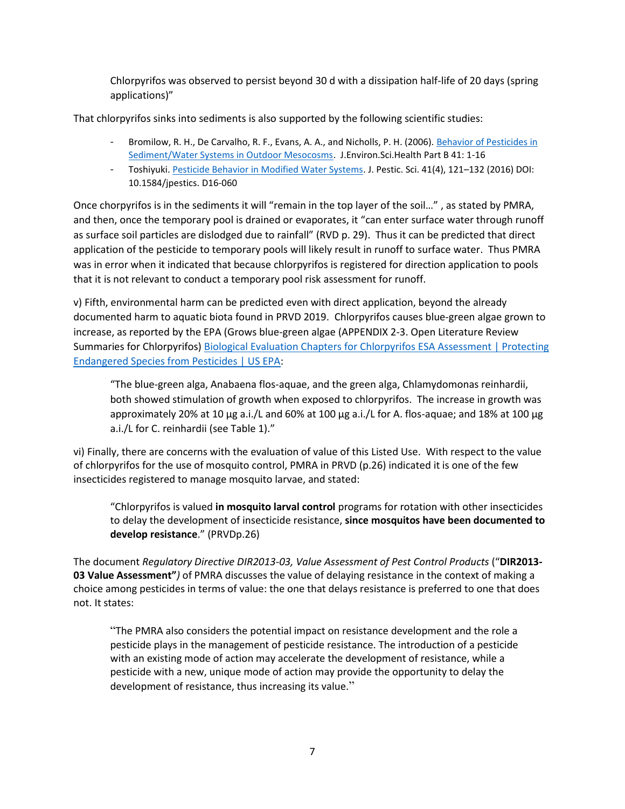Chlorpyrifos was observed to persist beyond 30 d with a dissipation half-life of 20 days (spring applications)"

That chlorpyrifos sinks into sediments is also supported by the following scientific studies:

- Bromilow, R. H., De Carvalho, R. F., Evans, A. A., and Nicholls, P. H. (2006). Behavior of Pesticides in [Sediment/Water Systems in Outdoor Mesocosms.](https://www.tandfonline.com/doi/abs/10.1080/03601230500234844) J.Environ.Sci.Health Part B 41: 1-16
- Toshiyuki. [Pesticide Behavior in Modified Water Systems.](https://www.ncbi.nlm.nih.gov/pmc/articles/PMC6140654/pdf/jps-41-4-D16-060.pdf) J. Pestic. Sci. 41(4), 121–132 (2016) DOI: 10.1584/jpestics. D16-060

Once chorpyrifos is in the sediments it will "remain in the top layer of the soil…" , as stated by PMRA, and then, once the temporary pool is drained or evaporates, it "can enter surface water through runoff as surface soil particles are dislodged due to rainfall" (RVD p. 29). Thus it can be predicted that direct application of the pesticide to temporary pools will likely result in runoff to surface water. Thus PMRA was in error when it indicated that because chlorpyrifos is registered for direction application to pools that it is not relevant to conduct a temporary pool risk assessment for runoff.

v) Fifth, environmental harm can be predicted even with direct application, beyond the already documented harm to aquatic biota found in PRVD 2019. Chlorpyrifos causes blue-green algae grown to increase, as reported by the EPA (Grows blue-green algae (APPENDIX 2-3. Open Literature Review Summaries for Chlorpyrifos) [Biological Evaluation Chapters for Chlorpyrifos ESA Assessment | Protecting](https://www.epa.gov/endangered-species/biological-evaluation-chapters-chlorpyrifos-esa-assessment#chapter%202)  [Endangered Species from Pesticides | US EPA:](https://www.epa.gov/endangered-species/biological-evaluation-chapters-chlorpyrifos-esa-assessment#chapter%202)

"The blue-green alga, Anabaena flos-aquae, and the green alga, Chlamydomonas reinhardii, both showed stimulation of growth when exposed to chlorpyrifos. The increase in growth was approximately 20% at 10 µg a.i./L and 60% at 100 µg a.i./L for A. flos-aquae; and 18% at 100 µg a.i./L for C. reinhardii (see Table 1)."

vi) Finally, there are concerns with the evaluation of value of this Listed Use. With respect to the value of chlorpyrifos for the use of mosquito control, PMRA in PRVD (p.26) indicated it is one of the few insecticides registered to manage mosquito larvae, and stated:

"Chlorpyrifos is valued **in mosquito larval control** programs for rotation with other insecticides to delay the development of insecticide resistance, **since mosquitos have been documented to develop resistance**." (PRVDp.26)

The document *Regulatory Directive DIR2013-03, Value Assessment of Pest Control Products* ("**DIR2013- 03 Value Assessment"***)* of PMRA discusses the value of delaying resistance in the context of making a choice among pesticides in terms of value: the one that delays resistance is preferred to one that does not. It states:

"The PMRA also considers the potential impact on resistance development and the role a pesticide plays in the management of pesticide resistance. The introduction of a pesticide with an existing mode of action may accelerate the development of resistance, while a pesticide with a new, unique mode of action may provide the opportunity to delay the development of resistance, thus increasing its value."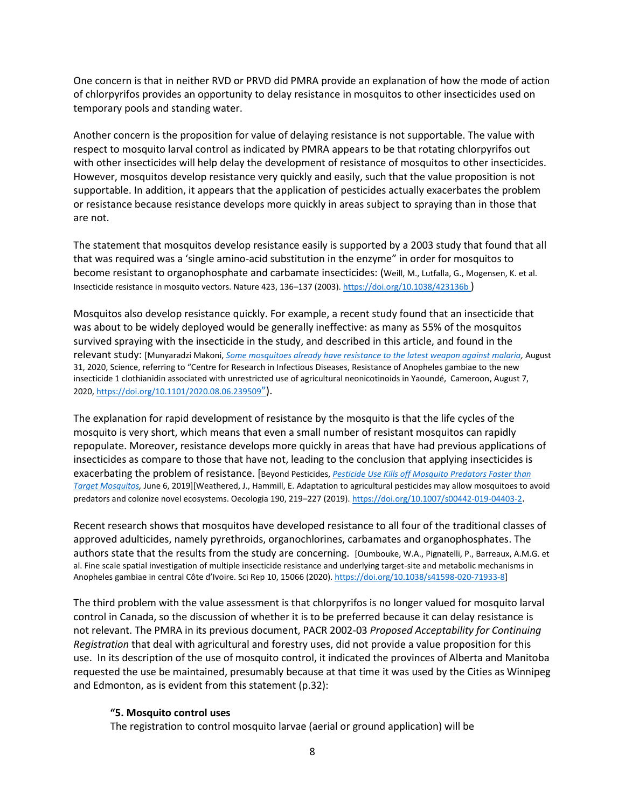One concern is that in neither RVD or PRVD did PMRA provide an explanation of how the mode of action of chlorpyrifos provides an opportunity to delay resistance in mosquitos to other insecticides used on temporary pools and standing water.

Another concern is the proposition for value of delaying resistance is not supportable. The value with respect to mosquito larval control as indicated by PMRA appears to be that rotating chlorpyrifos out with other insecticides will help delay the development of resistance of mosquitos to other insecticides. However, mosquitos develop resistance very quickly and easily, such that the value proposition is not supportable. In addition, it appears that the application of pesticides actually exacerbates the problem or resistance because resistance develops more quickly in areas subject to spraying than in those that are not.

The statement that mosquitos develop resistance easily is supported by a 2003 study that found that all that was required was a 'single amino-acid substitution in the enzyme" in order for mosquitos to become resistant to organophosphate and carbamate insecticides: (Weill, M., Lutfalla, G., Mogensen, K. et al. Insecticide resistance in mosquito vectors. Nature 423, 136-137 (2003)[. https://doi.org/10.1038/423136b](https://doi.org/10.1038/423136b) )

Mosquitos also develop resistance quickly. For example, a recent study found that an insecticide that was about to be widely deployed would be generally ineffective: as many as 55% of the mosquitos survived spraying with the insecticide in the study, and described in this article, and found in the relevant study: [Munyaradzi Makoni, *[Some mosquitoes already have resistance to the latest weapon against malaria,](https://www.sciencemag.org/news/2020/08/some-mosquitoes-already-have-resistance-latest-weapon-against-malaria)* August 31, 2020, Science, referring to "Centre for Research in Infectious Diseases, Resistance of Anopheles gambiae to the new insecticide 1 clothianidin associated with unrestricted use of agricultural neonicotinoids in Yaoundé, Cameroon, August 7, 2020[, https://doi.org/10.1101/2020.08.06.239509](https://doi.org/10.1101/2020.08.06.239509)").

The explanation for rapid development of resistance by the mosquito is that the life cycles of the mosquito is very short, which means that even a small number of resistant mosquitos can rapidly repopulate. Moreover, resistance develops more quickly in areas that have had previous applications of insecticides as compare to those that have not, leading to the conclusion that applying insecticides is exacerbating the problem of resistance. [Beyond Pesticides, *[Pesticide Use Kills off Mosquito Predators Faster than](https://beyondpesticides.org/dailynewsblog/2019/06/pesticide-use-kills-off-mosquito-predators-faster-than-target-mosquitoes/)  [Target Mosquitos,](https://beyondpesticides.org/dailynewsblog/2019/06/pesticide-use-kills-off-mosquito-predators-faster-than-target-mosquitoes/)* June 6, 2019][Weathered, J., Hammill, E. Adaptation to agricultural pesticides may allow mosquitoes to avoid predators and colonize novel ecosystems. Oecologia 190, 219–227 (2019)[. https://doi.org/10.1007/s00442-019-04403-2](https://doi.org/10.1007/s00442-019-04403-2).

Recent research shows that mosquitos have developed resistance to all four of the traditional classes of approved adulticides, namely pyrethroids, organochlorines, carbamates and organophosphates. The authors state that the results from the study are concerning. [Oumbouke, W.A., Pignatelli, P., Barreaux, A.M.G. et al. Fine scale spatial investigation of multiple insecticide resistance and underlying target-site and metabolic mechanisms in Anopheles gambiae in central Côte d'Ivoire. Sci Rep 10, 15066 (2020)[. https://doi.org/10.1038/s41598-020-71933-8\]](https://doi.org/10.1038/s41598-020-71933-8)

The third problem with the value assessment is that chlorpyrifos is no longer valued for mosquito larval control in Canada, so the discussion of whether it is to be preferred because it can delay resistance is not relevant. The PMRA in its previous document, PACR 2002-03 *Proposed Acceptability for Continuing Registration* that deal with agricultural and forestry uses, did not provide a value proposition for this use. In its description of the use of mosquito control, it indicated the provinces of Alberta and Manitoba requested the use be maintained, presumably because at that time it was used by the Cities as Winnipeg and Edmonton, as is evident from this statement (p.32):

#### **"5. Mosquito control uses**

The registration to control mosquito larvae (aerial or ground application) will be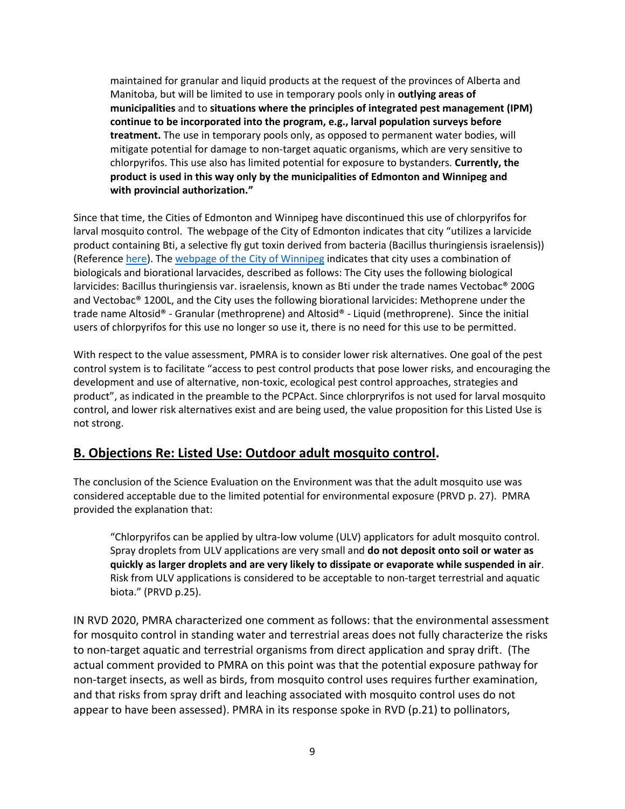maintained for granular and liquid products at the request of the provinces of Alberta and Manitoba, but will be limited to use in temporary pools only in **outlying areas of municipalities** and to **situations where the principles of integrated pest management (IPM) continue to be incorporated into the program, e.g., larval population surveys before treatment.** The use in temporary pools only, as opposed to permanent water bodies, will mitigate potential for damage to non-target aquatic organisms, which are very sensitive to chlorpyrifos. This use also has limited potential for exposure to bystanders. **Currently, the product is used in this way only by the municipalities of Edmonton and Winnipeg and with provincial authorization."**

Since that time, the Cities of Edmonton and Winnipeg have discontinued this use of chlorpyrifos for larval mosquito control. The webpage of the City of Edmonton indicates that city "utilizes a larvicide product containing Bti, a selective fly gut toxin derived from bacteria (Bacillus thuringiensis israelensis)) (Reference [here\)](https://www.edmonton.ca/programs_services/pests/edmontons-mosquito-control-program.aspx). Th[e webpage of the City of Winnipeg](https://winnipeg.ca/publicworks/insectcontrol/mosquitoes/larviciding.stm#5) indicates that city uses a combination of biologicals and biorational larvacides, described as follows: The City uses the following biological larvicides: Bacillus thuringiensis var. israelensis, known as Bti under the trade names Vectobac® 200G and Vectobac® 1200L, and the City uses the following biorational larvicides: Methoprene under the trade name Altosid® - Granular (methroprene) and Altosid® - Liquid (methroprene). Since the initial users of chlorpyrifos for this use no longer so use it, there is no need for this use to be permitted.

With respect to the value assessment, PMRA is to consider lower risk alternatives. One goal of the pest control system is to facilitate "access to pest control products that pose lower risks, and encouraging the development and use of alternative, non-toxic, ecological pest control approaches, strategies and product", as indicated in the preamble to the PCPAct. Since chlorpryrifos is not used for larval mosquito control, and lower risk alternatives exist and are being used, the value proposition for this Listed Use is not strong.

## **B. Objections Re: Listed Use: Outdoor adult mosquito control.**

The conclusion of the Science Evaluation on the Environment was that the adult mosquito use was considered acceptable due to the limited potential for environmental exposure (PRVD p. 27). PMRA provided the explanation that:

"Chlorpyrifos can be applied by ultra-low volume (ULV) applicators for adult mosquito control. Spray droplets from ULV applications are very small and **do not deposit onto soil or water as quickly as larger droplets and are very likely to dissipate or evaporate while suspended in air**. Risk from ULV applications is considered to be acceptable to non-target terrestrial and aquatic biota." (PRVD p.25).

IN RVD 2020, PMRA characterized one comment as follows: that the environmental assessment for mosquito control in standing water and terrestrial areas does not fully characterize the risks to non-target aquatic and terrestrial organisms from direct application and spray drift. (The actual comment provided to PMRA on this point was that the potential exposure pathway for non-target insects, as well as birds, from mosquito control uses requires further examination, and that risks from spray drift and leaching associated with mosquito control uses do not appear to have been assessed). PMRA in its response spoke in RVD (p.21) to pollinators,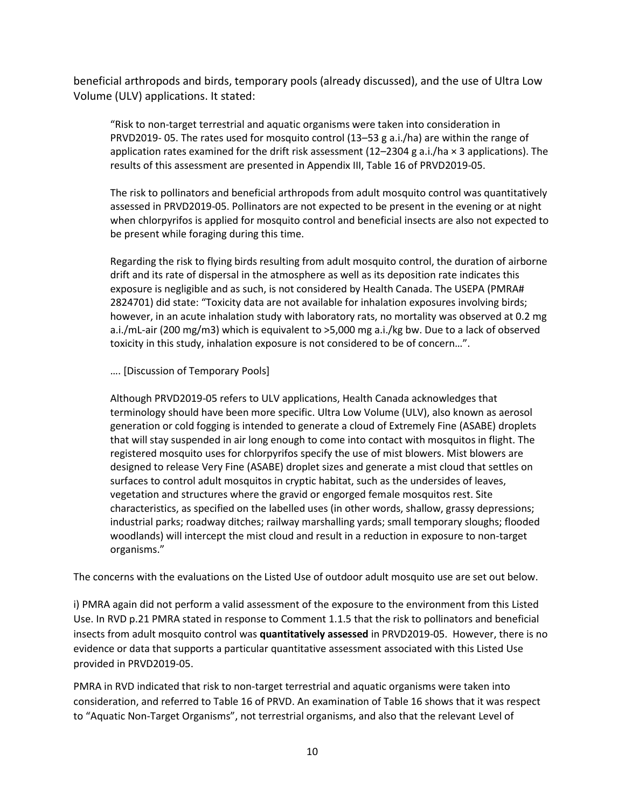beneficial arthropods and birds, temporary pools (already discussed), and the use of Ultra Low Volume (ULV) applications. It stated:

"Risk to non-target terrestrial and aquatic organisms were taken into consideration in PRVD2019- 05. The rates used for mosquito control (13–53 g a.i./ha) are within the range of application rates examined for the drift risk assessment  $(12-2304 g a.i./ha \times 3$  applications). The results of this assessment are presented in Appendix III, Table 16 of PRVD2019-05.

The risk to pollinators and beneficial arthropods from adult mosquito control was quantitatively assessed in PRVD2019-05. Pollinators are not expected to be present in the evening or at night when chlorpyrifos is applied for mosquito control and beneficial insects are also not expected to be present while foraging during this time.

Regarding the risk to flying birds resulting from adult mosquito control, the duration of airborne drift and its rate of dispersal in the atmosphere as well as its deposition rate indicates this exposure is negligible and as such, is not considered by Health Canada. The USEPA (PMRA# 2824701) did state: "Toxicity data are not available for inhalation exposures involving birds; however, in an acute inhalation study with laboratory rats, no mortality was observed at 0.2 mg a.i./mL-air (200 mg/m3) which is equivalent to >5,000 mg a.i./kg bw. Due to a lack of observed toxicity in this study, inhalation exposure is not considered to be of concern…".

…. [Discussion of Temporary Pools]

Although PRVD2019-05 refers to ULV applications, Health Canada acknowledges that terminology should have been more specific. Ultra Low Volume (ULV), also known as aerosol generation or cold fogging is intended to generate a cloud of Extremely Fine (ASABE) droplets that will stay suspended in air long enough to come into contact with mosquitos in flight. The registered mosquito uses for chlorpyrifos specify the use of mist blowers. Mist blowers are designed to release Very Fine (ASABE) droplet sizes and generate a mist cloud that settles on surfaces to control adult mosquitos in cryptic habitat, such as the undersides of leaves, vegetation and structures where the gravid or engorged female mosquitos rest. Site characteristics, as specified on the labelled uses (in other words, shallow, grassy depressions; industrial parks; roadway ditches; railway marshalling yards; small temporary sloughs; flooded woodlands) will intercept the mist cloud and result in a reduction in exposure to non-target organisms."

The concerns with the evaluations on the Listed Use of outdoor adult mosquito use are set out below.

i) PMRA again did not perform a valid assessment of the exposure to the environment from this Listed Use. In RVD p.21 PMRA stated in response to Comment 1.1.5 that the risk to pollinators and beneficial insects from adult mosquito control was **quantitatively assessed** in PRVD2019-05. However, there is no evidence or data that supports a particular quantitative assessment associated with this Listed Use provided in PRVD2019-05.

PMRA in RVD indicated that risk to non-target terrestrial and aquatic organisms were taken into consideration, and referred to Table 16 of PRVD. An examination of Table 16 shows that it was respect to "Aquatic Non-Target Organisms", not terrestrial organisms, and also that the relevant Level of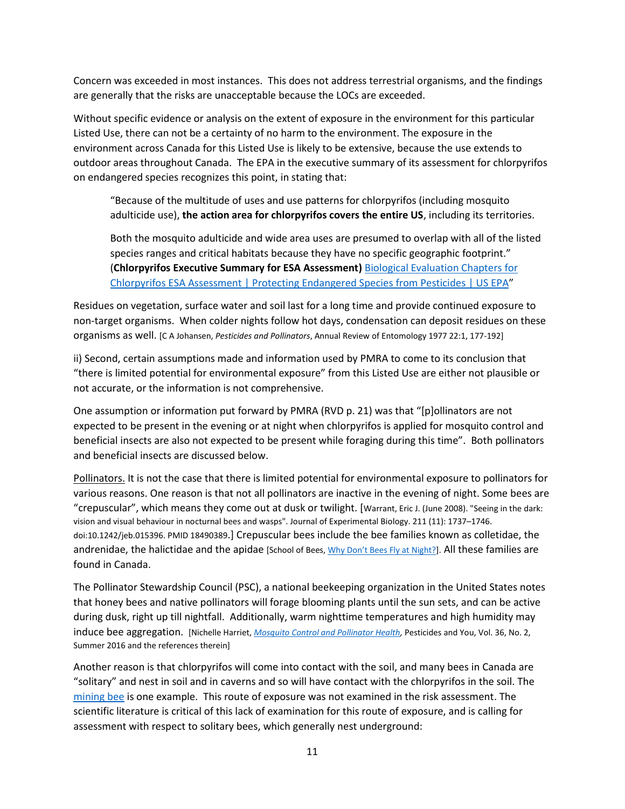Concern was exceeded in most instances. This does not address terrestrial organisms, and the findings are generally that the risks are unacceptable because the LOCs are exceeded.

Without specific evidence or analysis on the extent of exposure in the environment for this particular Listed Use, there can not be a certainty of no harm to the environment. The exposure in the environment across Canada for this Listed Use is likely to be extensive, because the use extends to outdoor areas throughout Canada. The EPA in the executive summary of its assessment for chlorpyrifos on endangered species recognizes this point, in stating that:

"Because of the multitude of uses and use patterns for chlorpyrifos (including mosquito adulticide use), **the action area for chlorpyrifos covers the entire US**, including its territories.

Both the mosquito adulticide and wide area uses are presumed to overlap with all of the listed species ranges and critical habitats because they have no specific geographic footprint." (**Chlorpyrifos Executive Summary for ESA Assessment)** [Biological Evaluation Chapters for](https://www.epa.gov/endangered-species/biological-evaluation-chapters-chlorpyrifos-esa-assessment#executivesummary)  [Chlorpyrifos ESA Assessment | Protecting Endangered Species from Pesticides | US EPA](https://www.epa.gov/endangered-species/biological-evaluation-chapters-chlorpyrifos-esa-assessment#executivesummary)"

Residues on vegetation, surface water and soil last for a long time and provide continued exposure to non-target organisms. When colder nights follow hot days, condensation can deposit residues on these organisms as well. [C A Johansen, *Pesticides and Pollinators*, Annual Review of Entomology 1977 22:1, 177-192]

ii) Second, certain assumptions made and information used by PMRA to come to its conclusion that "there is limited potential for environmental exposure" from this Listed Use are either not plausible or not accurate, or the information is not comprehensive.

One assumption or information put forward by PMRA (RVD p. 21) was that "[p]ollinators are not expected to be present in the evening or at night when chlorpyrifos is applied for mosquito control and beneficial insects are also not expected to be present while foraging during this time". Both pollinators and beneficial insects are discussed below.

Pollinators. It is not the case that there is limited potential for environmental exposure to pollinators for various reasons. One reason is that not all pollinators are inactive in the evening of night. Some bees are "crepuscular", which means they come out at dusk or twilight. [Warrant, Eric J. (June 2008). "Seeing in the dark: vision and visual behaviour in nocturnal bees and wasps". Journal of Experimental Biology. 211 (11): 1737–1746. doi:10.1242/jeb.015396. PMID 18490389.] Crepuscular bees include the bee families known as colletidae, the andrenidae, the halictidae and the apidae [School of Bees, [Why Don't Bees Fly at Night?](https://schoolofbees.com/why-dont-bees-fly-at-night/)]. All these families are found in Canada.

The Pollinator Stewardship Council (PSC), a national beekeeping organization in the United States notes that honey bees and native pollinators will forage blooming plants until the sun sets, and can be active during dusk, right up till nightfall. Additionally, warm nighttime temperatures and high humidity may induce bee aggregation. [Nichelle Harriet, *[Mosquito Control and Pollinator Health,](https://www.pesticidefreelawns.org/assets/media/documents/Summer2016MosquitosAndPollinators.pdf)* Pesticides and You, Vol. 36, No. 2, Summer 2016 and the references therein]

Another reason is that chlorpyrifos will come into contact with the soil, and many bees in Canada are "solitary" and nest in soil and in caverns and so will have contact with the chlorpyrifos in the soil. The [mining bee](https://cwf-fcf.org/en/resources/encyclopedias/fauna/insects/mining-bee.html) is one example. This route of exposure was not examined in the risk assessment. The scientific literature is critical of this lack of examination for this route of exposure, and is calling for assessment with respect to solitary bees, which generally nest underground: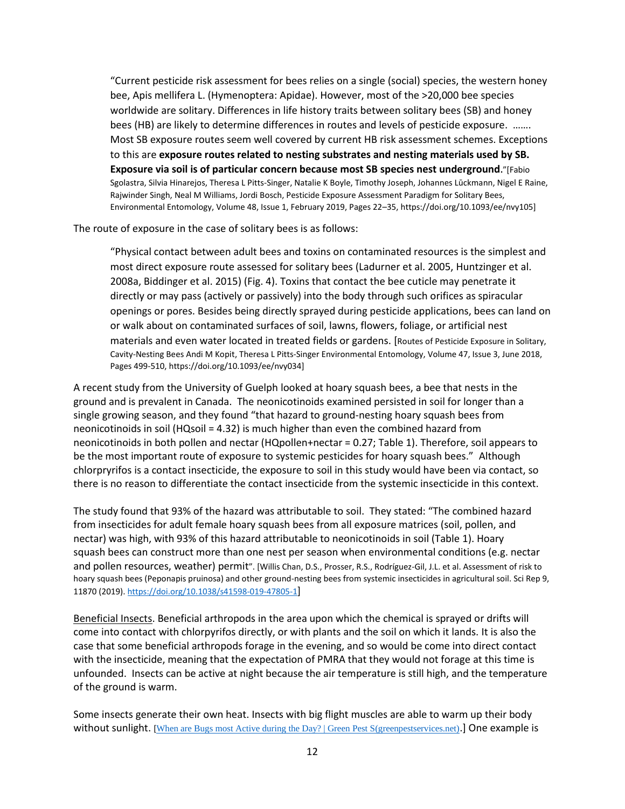"Current pesticide risk assessment for bees relies on a single (social) species, the western honey bee, Apis mellifera L. (Hymenoptera: Apidae). However, most of the >20,000 bee species worldwide are solitary. Differences in life history traits between solitary bees (SB) and honey bees (HB) are likely to determine differences in routes and levels of pesticide exposure. ……. Most SB exposure routes seem well covered by current HB risk assessment schemes. Exceptions to this are **exposure routes related to nesting substrates and nesting materials used by SB. Exposure via soil is of particular concern because most SB species nest underground.**"[Fabio Sgolastra, Silvia Hinarejos, Theresa L Pitts-Singer, Natalie K Boyle, Timothy Joseph, Johannes Lūckmann, Nigel E Raine, Rajwinder Singh, Neal M Williams, Jordi Bosch, Pesticide Exposure Assessment Paradigm for Solitary Bees, Environmental Entomology, Volume 48, Issue 1, February 2019, Pages 22–35, https://doi.org/10.1093/ee/nvy105]

The route of exposure in the case of solitary bees is as follows:

"Physical contact between adult bees and toxins on contaminated resources is the simplest and most direct exposure route assessed for solitary bees (Ladurner et al. 2005, Huntzinger et al. 2008a, Biddinger et al. 2015) (Fig. 4). Toxins that contact the bee cuticle may penetrate it directly or may pass (actively or passively) into the body through such orifices as spiracular openings or pores. Besides being directly sprayed during pesticide applications, bees can land on or walk about on contaminated surfaces of soil, lawns, flowers, foliage, or artificial nest materials and even water located in treated fields or gardens. [Routes of Pesticide Exposure in Solitary, Cavity-Nesting Bees Andi M Kopit, Theresa L Pitts-Singer Environmental Entomology, Volume 47, Issue 3, June 2018, Pages 499-510, https://doi.org/10.1093/ee/nvy034]

A recent study from the University of Guelph looked at hoary squash bees, a bee that nests in the ground and is prevalent in Canada. The neonicotinoids examined persisted in soil for longer than a single growing season, and they found "that hazard to ground-nesting hoary squash bees from neonicotinoids in soil (HQsoil = 4.32) is much higher than even the combined hazard from neonicotinoids in both pollen and nectar (HQpollen+nectar = 0.27; Table 1). Therefore, soil appears to be the most important route of exposure to systemic pesticides for hoary squash bees." Although chlorpryrifos is a contact insecticide, the exposure to soil in this study would have been via contact, so there is no reason to differentiate the contact insecticide from the systemic insecticide in this context.

The study found that 93% of the hazard was attributable to soil. They stated: "The combined hazard from insecticides for adult female hoary squash bees from all exposure matrices (soil, pollen, and nectar) was high, with 93% of this hazard attributable to neonicotinoids in soil (Table 1). Hoary squash bees can construct more than one nest per season when environmental conditions (e.g. nectar and pollen resources, weather) permit". [Willis Chan, D.S., Prosser, R.S., Rodríguez-Gil, J.L. et al. Assessment of risk to hoary squash bees (Peponapis pruinosa) and other ground-nesting bees from systemic insecticides in agricultural soil. Sci Rep 9, 11870 (2019).<https://doi.org/10.1038/s41598-019-47805-1>]

Beneficial Insects. Beneficial arthropods in the area upon which the chemical is sprayed or drifts will come into contact with chlorpyrifos directly, or with plants and the soil on which it lands. It is also the case that some beneficial arthropods forage in the evening, and so would be come into direct contact with the insecticide, meaning that the expectation of PMRA that they would not forage at this time is unfounded. Insects can be active at night because the air temperature is still high, and the temperature of the ground is warm.

Some insects generate their own heat. Insects with big flight muscles are able to warm up their body without sunlight. [[When are Bugs most Active during the Day? | Green Pest S\(greenpestservices.net\)](https://greenpestservices.net/bugs-active-day/).] One example is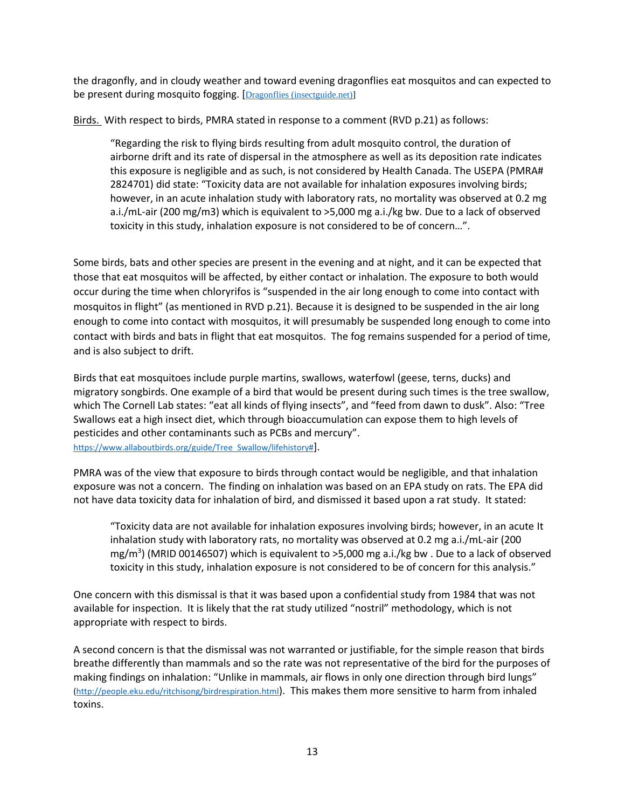the dragonfly, and in cloudy weather and toward evening dragonflies eat mosquitos and can expected to be present during mosquito fogging. [[Dragonflies \(insectguide.net\)\]](http://www.insectguide.net/dragonflies.html)

Birds. With respect to birds, PMRA stated in response to a comment (RVD p.21) as follows:

"Regarding the risk to flying birds resulting from adult mosquito control, the duration of airborne drift and its rate of dispersal in the atmosphere as well as its deposition rate indicates this exposure is negligible and as such, is not considered by Health Canada. The USEPA (PMRA# 2824701) did state: "Toxicity data are not available for inhalation exposures involving birds; however, in an acute inhalation study with laboratory rats, no mortality was observed at 0.2 mg a.i./mL-air (200 mg/m3) which is equivalent to >5,000 mg a.i./kg bw. Due to a lack of observed toxicity in this study, inhalation exposure is not considered to be of concern…".

Some birds, bats and other species are present in the evening and at night, and it can be expected that those that eat mosquitos will be affected, by either contact or inhalation. The exposure to both would occur during the time when chloryrifos is "suspended in the air long enough to come into contact with mosquitos in flight" (as mentioned in RVD p.21). Because it is designed to be suspended in the air long enough to come into contact with mosquitos, it will presumably be suspended long enough to come into contact with birds and bats in flight that eat mosquitos. The fog remains suspended for a period of time, and is also subject to drift.

Birds that eat mosquitoes include purple martins, swallows, waterfowl (geese, terns, ducks) and migratory songbirds. One example of a bird that would be present during such times is the tree swallow, which The Cornell Lab states: "eat all kinds of flying insects", and "feed from dawn to dusk". Also: "Tree Swallows eat a high insect diet, which through bioaccumulation can expose them to high levels of pesticides and other contaminants such as PCBs and mercury". [https://www.allaboutbirds.org/guide/Tree\\_Swallow/lifehistory#](https://www.allaboutbirds.org/guide/Tree_Swallow/lifehistory)].

PMRA was of the view that exposure to birds through contact would be negligible, and that inhalation exposure was not a concern. The finding on inhalation was based on an EPA study on rats. The EPA did not have data toxicity data for inhalation of bird, and dismissed it based upon a rat study. It stated:

"Toxicity data are not available for inhalation exposures involving birds; however, in an acute It inhalation study with laboratory rats, no mortality was observed at 0.2 mg a.i./mL-air (200 mg/m<sup>3</sup>) (MRID 00146507) which is equivalent to >5,000 mg a.i./kg bw . Due to a lack of observed toxicity in this study, inhalation exposure is not considered to be of concern for this analysis."

One concern with this dismissal is that it was based upon a confidential study from 1984 that was not available for inspection. It is likely that the rat study utilized "nostril" methodology, which is not appropriate with respect to birds.

A second concern is that the dismissal was not warranted or justifiable, for the simple reason that birds breathe differently than mammals and so the rate was not representative of the bird for the purposes of making findings on inhalation: "Unlike in mammals, air flows in only one direction through bird lungs" [\(http://people.eku.edu/ritchisong/birdrespiration.html](http://people.eku.edu/ritchisong/birdrespiration.html)). This makes them more sensitive to harm from inhaled toxins.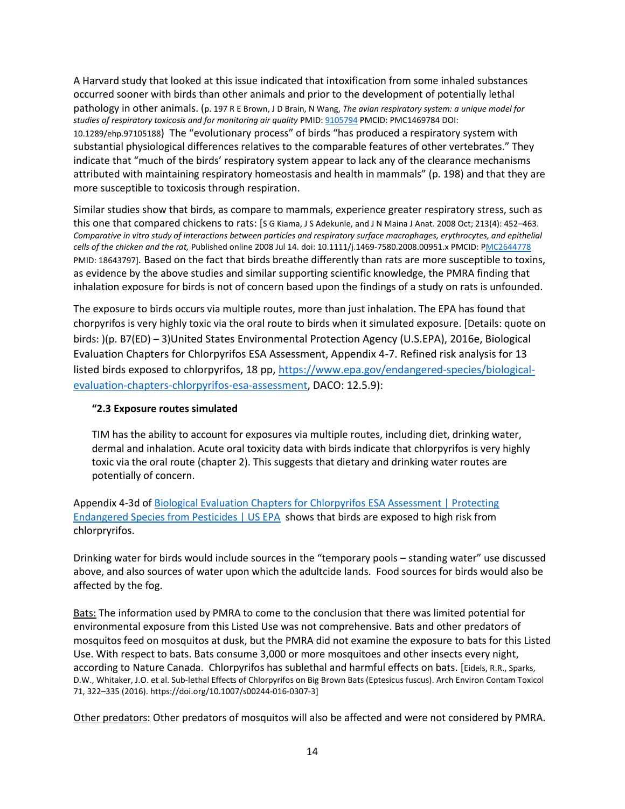A Harvard study that looked at this issue indicated that intoxification from some inhaled substances occurred sooner with birds than other animals and prior to the development of potentially lethal pathology in other animals. (p. 197 R E Brown, J D Brain, N Wang, *The avian respiratory system: a unique model for studies of respiratory toxicosis and for monitoring air quality* PMID[: 9105794](https://pubmed.ncbi.nlm.nih.gov/9105794/) PMCID: PMC1469784 DOI: 10.1289/ehp.97105188) The "evolutionary process" of birds "has produced a respiratory system with substantial physiological differences relatives to the comparable features of other vertebrates." They indicate that "much of the birds' respiratory system appear to lack any of the clearance mechanisms attributed with maintaining respiratory homeostasis and health in mammals" (p. 198) and that they are more susceptible to toxicosis through respiration.

Similar studies show that birds, as compare to mammals, experience greater respiratory stress, such as this one that compared chickens to rats: [S G Kiama, J S Adekunle, and J N Maina J Anat. 2008 Oct; 213(4): 452–463. *Comparative in vitro study of interactions between particles and respiratory surface macrophages, erythrocytes, and epithelial cells of the chicken and the rat,* Published online 2008 Jul 14. doi: 10.1111/j.1469-7580.2008.00951.x PMCID: [PMC2644778](https://www.ncbi.nlm.nih.gov/pmc/articles/PMC2644778/) PMID: 18643797]*.* Based on the fact that birds breathe differently than rats are more susceptible to toxins, as evidence by the above studies and similar supporting scientific knowledge, the PMRA finding that inhalation exposure for birds is not of concern based upon the findings of a study on rats is unfounded.

The exposure to birds occurs via multiple routes, more than just inhalation. The EPA has found that chorpyrifos is very highly toxic via the oral route to birds when it simulated exposure. [Details: quote on birds: )(p. B7(ED) – 3)United States Environmental Protection Agency (U.S.EPA), 2016e, Biological Evaluation Chapters for Chlorpyrifos ESA Assessment, Appendix 4-7. Refined risk analysis for 13 listed birds exposed to chlorpyrifos, 18 pp, [https://www.epa.gov/endangered-species/biological](https://www.epa.gov/endangered-species/biological-evaluation-chapters-chlorpyrifos-esa-assessment)[evaluation-chapters-chlorpyrifos-esa-assessment,](https://www.epa.gov/endangered-species/biological-evaluation-chapters-chlorpyrifos-esa-assessment) DACO: 12.5.9):

#### **"2.3 Exposure routes simulated**

TIM has the ability to account for exposures via multiple routes, including diet, drinking water, dermal and inhalation. Acute oral toxicity data with birds indicate that chlorpyrifos is very highly toxic via the oral route (chapter 2). This suggests that dietary and drinking water routes are potentially of concern.

Appendix 4-3d of [Biological Evaluation Chapters for Chlorpyrifos ESA Assessment | Protecting](https://www.epa.gov/endangered-species/biological-evaluation-chapters-chlorpyrifos-esa-assessment#chapter%202)  [Endangered Species from Pesticides | US EPA](https://www.epa.gov/endangered-species/biological-evaluation-chapters-chlorpyrifos-esa-assessment#chapter%202) shows that birds are exposed to high risk from chlorpryrifos.

Drinking water for birds would include sources in the "temporary pools – standing water" use discussed above, and also sources of water upon which the adultcide lands. Food sources for birds would also be affected by the fog.

Bats: The information used by PMRA to come to the conclusion that there was limited potential for environmental exposure from this Listed Use was not comprehensive. Bats and other predators of mosquitos feed on mosquitos at dusk, but the PMRA did not examine the exposure to bats for this Listed Use. With respect to bats. Bats consume 3,000 or more mosquitoes and other insects every night, according to Nature Canada. Chlorpyrifos has sublethal and harmful effects on bats. [Eidels, R.R., Sparks, D.W., Whitaker, J.O. et al. Sub-lethal Effects of Chlorpyrifos on Big Brown Bats (Eptesicus fuscus). Arch Environ Contam Toxicol 71, 322–335 (2016). https://doi.org/10.1007/s00244-016-0307-3]

Other predators: Other predators of mosquitos will also be affected and were not considered by PMRA.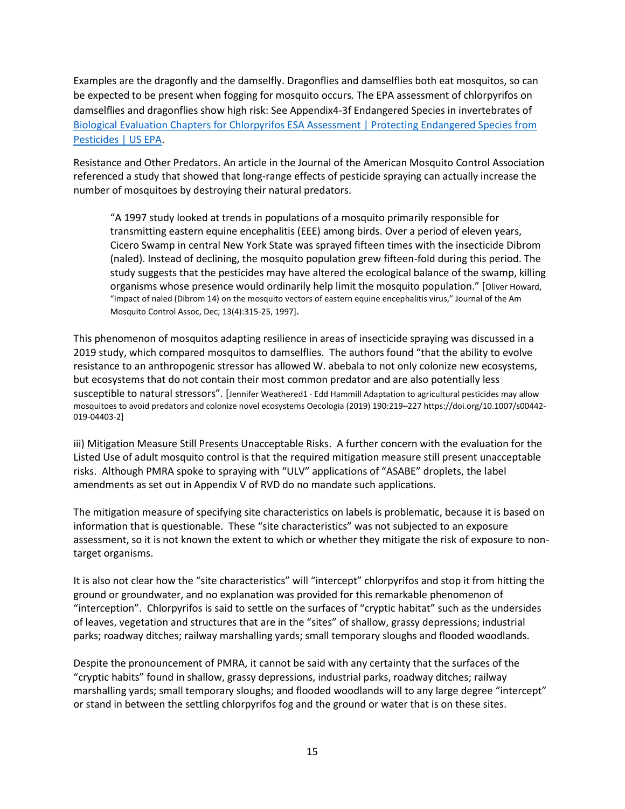Examples are the dragonfly and the damselfly. Dragonflies and damselflies both eat mosquitos, so can be expected to be present when fogging for mosquito occurs. The EPA assessment of chlorpyrifos on damselflies and dragonflies show high risk: See Appendix4-3f Endangered Species in invertebrates of [Biological Evaluation Chapters for Chlorpyrifos ESA Assessment | Protecting Endangered Species from](https://www.epa.gov/endangered-species/biological-evaluation-chapters-chlorpyrifos-esa-assessment#chapter%202)  [Pesticides | US EPA.](https://www.epa.gov/endangered-species/biological-evaluation-chapters-chlorpyrifos-esa-assessment#chapter%202)

Resistance and Other Predators. An article in the Journal of the American Mosquito Control Association referenced a study that showed that long-range effects of pesticide spraying can actually increase the number of mosquitoes by destroying their natural predators.

"A 1997 study looked at trends in populations of a mosquito primarily responsible for transmitting eastern equine encephalitis (EEE) among birds. Over a period of eleven years, Cicero Swamp in central New York State was sprayed fifteen times with the insecticide Dibrom (naled). Instead of declining, the mosquito population grew fifteen-fold during this period. The study suggests that the pesticides may have altered the ecological balance of the swamp, killing organisms whose presence would ordinarily help limit the mosquito population." [Oliver Howard, "Impact of naled (Dibrom 14) on the mosquito vectors of eastern equine encephalitis virus," Journal of the Am Mosquito Control Assoc, Dec; 13(4):315-25, 1997].

This phenomenon of mosquitos adapting resilience in areas of insecticide spraying was discussed in a 2019 study, which compared mosquitos to damselflies. The authors found "that the ability to evolve resistance to an anthropogenic stressor has allowed W. abebala to not only colonize new ecosystems, but ecosystems that do not contain their most common predator and are also potentially less susceptible to natural stressors". [Jennifer Weathered1 · Edd Hammill Adaptation to agricultural pesticides may allow mosquitoes to avoid predators and colonize novel ecosystems Oecologia (2019) 190:219–227 https://doi.org/10.1007/s00442- 019-04403-2]

iii) Mitigation Measure Still Presents Unacceptable Risks. A further concern with the evaluation for the Listed Use of adult mosquito control is that the required mitigation measure still present unacceptable risks. Although PMRA spoke to spraying with "ULV" applications of "ASABE" droplets, the label amendments as set out in Appendix V of RVD do no mandate such applications.

The mitigation measure of specifying site characteristics on labels is problematic, because it is based on information that is questionable. These "site characteristics" was not subjected to an exposure assessment, so it is not known the extent to which or whether they mitigate the risk of exposure to nontarget organisms.

It is also not clear how the "site characteristics" will "intercept" chlorpyrifos and stop it from hitting the ground or groundwater, and no explanation was provided for this remarkable phenomenon of "interception". Chlorpyrifos is said to settle on the surfaces of "cryptic habitat" such as the undersides of leaves, vegetation and structures that are in the "sites" of shallow, grassy depressions; industrial parks; roadway ditches; railway marshalling yards; small temporary sloughs and flooded woodlands.

Despite the pronouncement of PMRA, it cannot be said with any certainty that the surfaces of the "cryptic habits" found in shallow, grassy depressions, industrial parks, roadway ditches; railway marshalling yards; small temporary sloughs; and flooded woodlands will to any large degree "intercept" or stand in between the settling chlorpyrifos fog and the ground or water that is on these sites.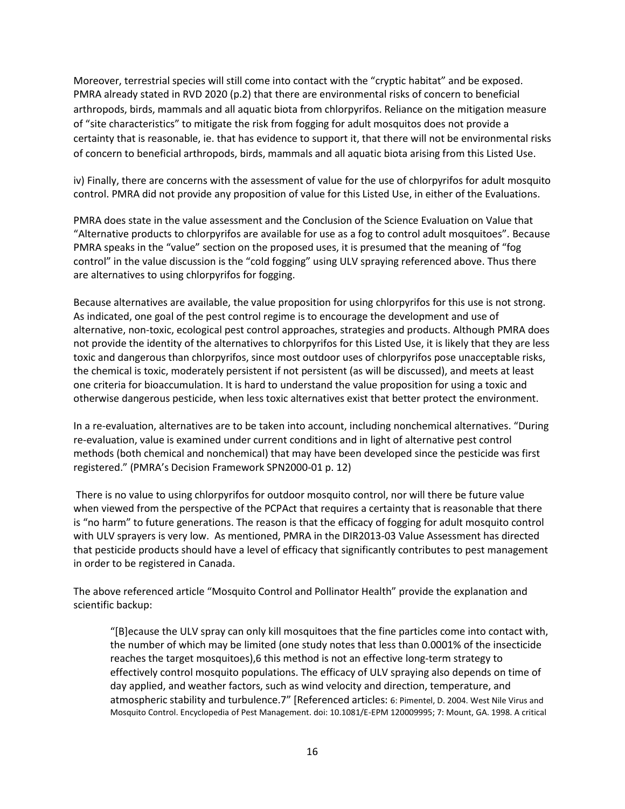Moreover, terrestrial species will still come into contact with the "cryptic habitat" and be exposed. PMRA already stated in RVD 2020 (p.2) that there are environmental risks of concern to beneficial arthropods, birds, mammals and all aquatic biota from chlorpyrifos. Reliance on the mitigation measure of "site characteristics" to mitigate the risk from fogging for adult mosquitos does not provide a certainty that is reasonable, ie. that has evidence to support it, that there will not be environmental risks of concern to beneficial arthropods, birds, mammals and all aquatic biota arising from this Listed Use.

iv) Finally, there are concerns with the assessment of value for the use of chlorpyrifos for adult mosquito control. PMRA did not provide any proposition of value for this Listed Use, in either of the Evaluations.

PMRA does state in the value assessment and the Conclusion of the Science Evaluation on Value that "Alternative products to chlorpyrifos are available for use as a fog to control adult mosquitoes". Because PMRA speaks in the "value" section on the proposed uses, it is presumed that the meaning of "fog control" in the value discussion is the "cold fogging" using ULV spraying referenced above. Thus there are alternatives to using chlorpyrifos for fogging.

Because alternatives are available, the value proposition for using chlorpyrifos for this use is not strong. As indicated, one goal of the pest control regime is to encourage the development and use of alternative, non-toxic, ecological pest control approaches, strategies and products. Although PMRA does not provide the identity of the alternatives to chlorpyrifos for this Listed Use, it is likely that they are less toxic and dangerous than chlorpyrifos, since most outdoor uses of chlorpyrifos pose unacceptable risks, the chemical is toxic, moderately persistent if not persistent (as will be discussed), and meets at least one criteria for bioaccumulation. It is hard to understand the value proposition for using a toxic and otherwise dangerous pesticide, when less toxic alternatives exist that better protect the environment.

In a re-evaluation, alternatives are to be taken into account, including nonchemical alternatives. "During re-evaluation, value is examined under current conditions and in light of alternative pest control methods (both chemical and nonchemical) that may have been developed since the pesticide was first registered." (PMRA's Decision Framework SPN2000-01 p. 12)

There is no value to using chlorpyrifos for outdoor mosquito control, nor will there be future value when viewed from the perspective of the PCPAct that requires a certainty that is reasonable that there is "no harm" to future generations. The reason is that the efficacy of fogging for adult mosquito control with ULV sprayers is very low. As mentioned, PMRA in the DIR2013-03 Value Assessment has directed that pesticide products should have a level of efficacy that significantly contributes to pest management in order to be registered in Canada.

The above referenced article "Mosquito Control and Pollinator Health" provide the explanation and scientific backup:

"[B]ecause the ULV spray can only kill mosquitoes that the fine particles come into contact with, the number of which may be limited (one study notes that less than 0.0001% of the insecticide reaches the target mosquitoes),6 this method is not an effective long-term strategy to effectively control mosquito populations. The efficacy of ULV spraying also depends on time of day applied, and weather factors, such as wind velocity and direction, temperature, and atmospheric stability and turbulence.7" [Referenced articles: 6: Pimentel, D. 2004. West Nile Virus and Mosquito Control. Encyclopedia of Pest Management. doi: 10.1081/E-EPM 120009995; 7: Mount, GA. 1998. A critical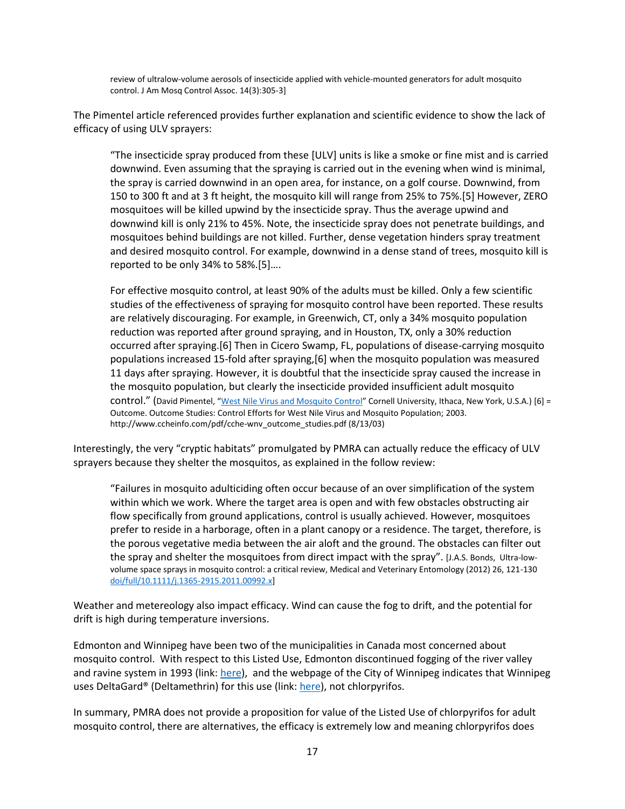review of ultralow-volume aerosols of insecticide applied with vehicle-mounted generators for adult mosquito control. J Am Mosq Control Assoc. 14(3):305-3]

The Pimentel article referenced provides further explanation and scientific evidence to show the lack of efficacy of using ULV sprayers:

"The insecticide spray produced from these [ULV] units is like a smoke or fine mist and is carried downwind. Even assuming that the spraying is carried out in the evening when wind is minimal, the spray is carried downwind in an open area, for instance, on a golf course. Downwind, from 150 to 300 ft and at 3 ft height, the mosquito kill will range from 25% to 75%.[5] However, ZERO mosquitoes will be killed upwind by the insecticide spray. Thus the average upwind and downwind kill is only 21% to 45%. Note, the insecticide spray does not penetrate buildings, and mosquitoes behind buildings are not killed. Further, dense vegetation hinders spray treatment and desired mosquito control. For example, downwind in a dense stand of trees, mosquito kill is reported to be only 34% to 58%.[5]….

For effective mosquito control, at least 90% of the adults must be killed. Only a few scientific studies of the effectiveness of spraying for mosquito control have been reported. These results are relatively discouraging. For example, in Greenwich, CT, only a 34% mosquito population reduction was reported after ground spraying, and in Houston, TX, only a 30% reduction occurred after spraying.[6] Then in Cicero Swamp, FL, populations of disease-carrying mosquito populations increased 15-fold after spraying,[6] when the mosquito population was measured 11 days after spraying. However, it is doubtful that the insecticide spray caused the increase in the mosquito population, but clearly the insecticide provided insufficient adult mosquito control." (David Pimentel, "[West Nile Virus and Mosquito Control](http://citeseerx.ist.psu.edu/viewdoc/summary?doi=10.1.1.667.8785)" Cornell University, Ithaca, New York, U.S.A.) [6] = Outcome. Outcome Studies: Control Efforts for West Nile Virus and Mosquito Population; 2003. http://www.ccheinfo.com/pdf/cche-wnv\_outcome\_studies.pdf (8/13/03)

Interestingly, the very "cryptic habitats" promulgated by PMRA can actually reduce the efficacy of ULV sprayers because they shelter the mosquitos, as explained in the follow review:

"Failures in mosquito adulticiding often occur because of an over simplification of the system within which we work. Where the target area is open and with few obstacles obstructing air flow specifically from ground applications, control is usually achieved. However, mosquitoes prefer to reside in a harborage, often in a plant canopy or a residence. The target, therefore, is the porous vegetative media between the air aloft and the ground. The obstacles can filter out the spray and shelter the mosquitoes from direct impact with the spray". [J.A.S. Bonds, Ultra-lowvolume space sprays in mosquito control: a critical review, Medical and Veterinary Entomology (2012) 26, 121-130 [doi/full/10.1111/j.1365-2915.2011.00992.x\]](https://onlinelibrary.wiley.com/doi/full/10.1111/j.1365-2915.2011.00992.x)

Weather and metereology also impact efficacy. Wind can cause the fog to drift, and the potential for drift is high during temperature inversions.

Edmonton and Winnipeg have been two of the municipalities in Canada most concerned about mosquito control. With respect to this Listed Use, Edmonton discontinued fogging of the river valley and ravine system in 1993 (link: [here\)](https://www.edmonton.ca/programs_services/pests/edmontons-mosquito-control-program.aspx), and the webpage of the City of Winnipeg indicates that Winnipeg uses DeltaGard® (Deltamethrin) for this use (link[: here\)](https://winnipeg.ca/publicworks/insectcontrol/mosquitoes/fogging.stm), not chlorpyrifos.

In summary, PMRA does not provide a proposition for value of the Listed Use of chlorpyrifos for adult mosquito control, there are alternatives, the efficacy is extremely low and meaning chlorpyrifos does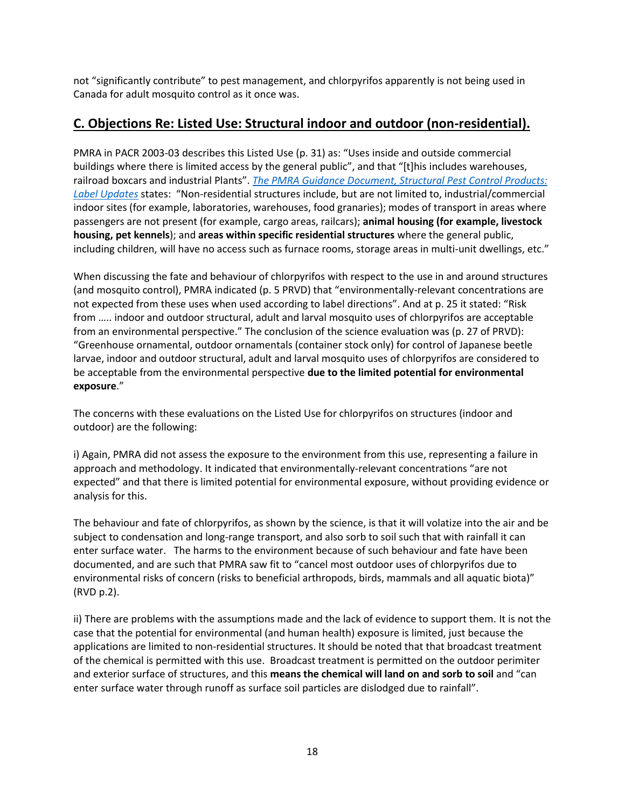not "significantly contribute" to pest management, and chlorpyrifos apparently is not being used in Canada for adult mosquito control as it once was.

## **C. Objections Re: Listed Use: Structural indoor and outdoor (non-residential).**

PMRA in PACR 2003-03 describes this Listed Use (p. 31) as: "Uses inside and outside commercial buildings where there is limited access by the general public", and that "[t]his includes warehouses, railroad boxcars and industrial Plants". *[The PMRA Guidance Document, Structural Pest Control Products:](https://www.canada.ca/en/health-canada/services/consumer-product-safety/reports-publications/pesticides-pest-management/policies-guidelines/structural-pest-control-products-label-updates.html)  [Label Updates](https://www.canada.ca/en/health-canada/services/consumer-product-safety/reports-publications/pesticides-pest-management/policies-guidelines/structural-pest-control-products-label-updates.html)* states: "Non-residential structures include, but are not limited to, industrial/commercial indoor sites (for example, laboratories, warehouses, food granaries); modes of transport in areas where passengers are not present (for example, cargo areas, railcars); **animal housing (for example, livestock housing, pet kennels**); and **areas within specific residential structures** where the general public, including children, will have no access such as furnace rooms, storage areas in multi-unit dwellings, etc."

When discussing the fate and behaviour of chlorpyrifos with respect to the use in and around structures (and mosquito control), PMRA indicated (p. 5 PRVD) that "environmentally-relevant concentrations are not expected from these uses when used according to label directions". And at p. 25 it stated: "Risk from ….. indoor and outdoor structural, adult and larval mosquito uses of chlorpyrifos are acceptable from an environmental perspective." The conclusion of the science evaluation was (p. 27 of PRVD): "Greenhouse ornamental, outdoor ornamentals (container stock only) for control of Japanese beetle larvae, indoor and outdoor structural, adult and larval mosquito uses of chlorpyrifos are considered to be acceptable from the environmental perspective **due to the limited potential for environmental exposure**."

The concerns with these evaluations on the Listed Use for chlorpyrifos on structures (indoor and outdoor) are the following:

i) Again, PMRA did not assess the exposure to the environment from this use, representing a failure in approach and methodology. It indicated that environmentally-relevant concentrations "are not expected" and that there is limited potential for environmental exposure, without providing evidence or analysis for this.

The behaviour and fate of chlorpyrifos, as shown by the science, is that it will volatize into the air and be subject to condensation and long-range transport, and also sorb to soil such that with rainfall it can enter surface water. The harms to the environment because of such behaviour and fate have been documented, and are such that PMRA saw fit to "cancel most outdoor uses of chlorpyrifos due to environmental risks of concern (risks to beneficial arthropods, birds, mammals and all aquatic biota)" (RVD p.2).

ii) There are problems with the assumptions made and the lack of evidence to support them. It is not the case that the potential for environmental (and human health) exposure is limited, just because the applications are limited to non-residential structures. It should be noted that that broadcast treatment of the chemical is permitted with this use. Broadcast treatment is permitted on the outdoor perimiter and exterior surface of structures, and this **means the chemical will land on and sorb to soil** and "can enter surface water through runoff as surface soil particles are dislodged due to rainfall".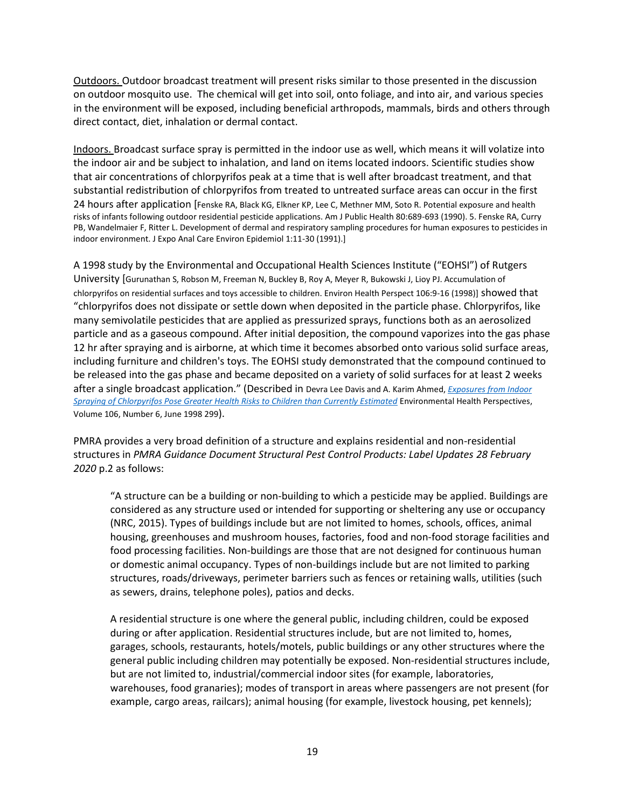Outdoors. Outdoor broadcast treatment will present risks similar to those presented in the discussion on outdoor mosquito use. The chemical will get into soil, onto foliage, and into air, and various species in the environment will be exposed, including beneficial arthropods, mammals, birds and others through direct contact, diet, inhalation or dermal contact.

Indoors. Broadcast surface spray is permitted in the indoor use as well, which means it will volatize into the indoor air and be subject to inhalation, and land on items located indoors. Scientific studies show that air concentrations of chlorpyrifos peak at a time that is well after broadcast treatment, and that substantial redistribution of chlorpyrifos from treated to untreated surface areas can occur in the first 24 hours after application [Fenske RA, Black KG, Elkner KP, Lee C, Methner MM, Soto R. Potential exposure and health risks of infants following outdoor residential pesticide applications. Am J Public Health 80:689-693 (1990). 5. Fenske RA, Curry PB, Wandelmaier F, Ritter L. Development of dermal and respiratory sampling procedures for human exposures to pesticides in indoor environment. J Expo Anal Care Environ Epidemiol 1:11-30 (1991).]

A 1998 study by the Environmental and Occupational Health Sciences Institute ("EOHSI") of Rutgers University [Gurunathan S, Robson M, Freeman N, Buckley B, Roy A, Meyer R, Bukowski J, Lioy PJ. Accumulation of chlorpyrifos on residential surfaces and toys accessible to children. Environ Health Perspect 106:9-16 (1998)] showed that "chlorpyrifos does not dissipate or settle down when deposited in the particle phase. Chlorpyrifos, like many semivolatile pesticides that are applied as pressurized sprays, functions both as an aerosolized particle and as a gaseous compound. After initial deposition, the compound vaporizes into the gas phase 12 hr after spraying and is airborne, at which time it becomes absorbed onto various solid surface areas, including furniture and children's toys. The EOHSI study demonstrated that the compound continued to be released into the gas phase and became deposited on a variety of solid surfaces for at least 2 weeks after a single broadcast application." (Described in Devra Lee Davis and A. Karim Ahmed, *[Exposures from Indoor](https://ehp.niehs.nih.gov/doi/pdf/10.1289/ehp.98106299)  [Spraying of Chlorpyrifos Pose Greater Health Risks to Children than Currently Estimated](https://ehp.niehs.nih.gov/doi/pdf/10.1289/ehp.98106299)* Environmental Health Perspectives, Volume 106, Number 6, June 1998 299).

PMRA provides a very broad definition of a structure and explains residential and non-residential structures in *PMRA Guidance Document Structural Pest Control Products: Label Updates 28 February 2020* p.2 as follows:

"A structure can be a building or non-building to which a pesticide may be applied. Buildings are considered as any structure used or intended for supporting or sheltering any use or occupancy (NRC, 2015). Types of buildings include but are not limited to homes, schools, offices, animal housing, greenhouses and mushroom houses, factories, food and non-food storage facilities and food processing facilities. Non-buildings are those that are not designed for continuous human or domestic animal occupancy. Types of non-buildings include but are not limited to parking structures, roads/driveways, perimeter barriers such as fences or retaining walls, utilities (such as sewers, drains, telephone poles), patios and decks.

A residential structure is one where the general public, including children, could be exposed during or after application. Residential structures include, but are not limited to, homes, garages, schools, restaurants, hotels/motels, public buildings or any other structures where the general public including children may potentially be exposed. Non-residential structures include, but are not limited to, industrial/commercial indoor sites (for example, laboratories, warehouses, food granaries); modes of transport in areas where passengers are not present (for example, cargo areas, railcars); animal housing (for example, livestock housing, pet kennels);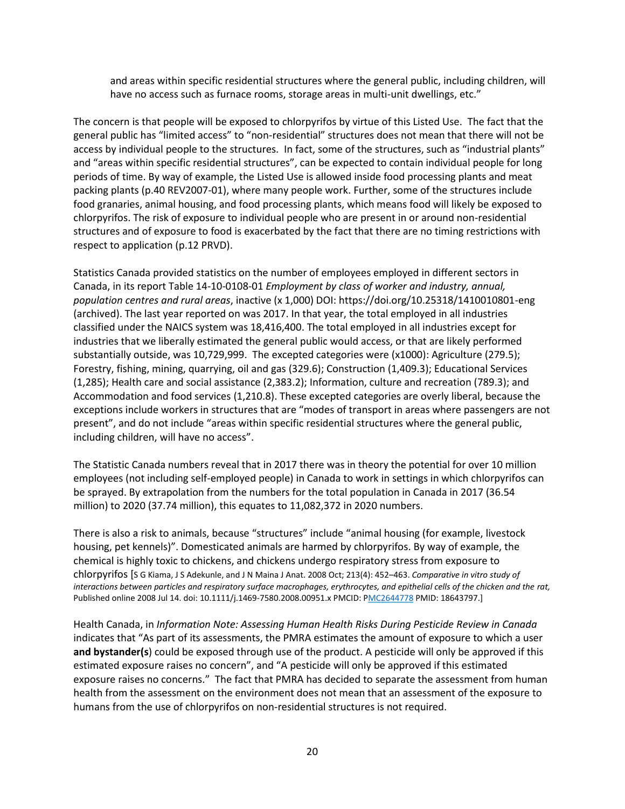and areas within specific residential structures where the general public, including children, will have no access such as furnace rooms, storage areas in multi-unit dwellings, etc."

The concern is that people will be exposed to chlorpyrifos by virtue of this Listed Use. The fact that the general public has "limited access" to "non-residential" structures does not mean that there will not be access by individual people to the structures. In fact, some of the structures, such as "industrial plants" and "areas within specific residential structures", can be expected to contain individual people for long periods of time. By way of example, the Listed Use is allowed inside food processing plants and meat packing plants (p.40 REV2007-01), where many people work. Further, some of the structures include food granaries, animal housing, and food processing plants, which means food will likely be exposed to chlorpyrifos. The risk of exposure to individual people who are present in or around non-residential structures and of exposure to food is exacerbated by the fact that there are no timing restrictions with respect to application (p.12 PRVD).

Statistics Canada provided statistics on the number of employees employed in different sectors in Canada, in its report Table 14-10-0108-01 *Employment by class of worker and industry, annual, population centres and rural areas*, inactive (x 1,000) DOI: https://doi.org/10.25318/1410010801-eng (archived). The last year reported on was 2017. In that year, the total employed in all industries classified under the NAICS system was 18,416,400. The total employed in all industries except for industries that we liberally estimated the general public would access, or that are likely performed substantially outside, was 10,729,999. The excepted categories were (x1000): Agriculture (279.5); Forestry, fishing, mining, quarrying, oil and gas (329.6); Construction (1,409.3); Educational Services (1,285); Health care and social assistance (2,383.2); Information, culture and recreation (789.3); and Accommodation and food services (1,210.8). These excepted categories are overly liberal, because the exceptions include workers in structures that are "modes of transport in areas where passengers are not present", and do not include "areas within specific residential structures where the general public, including children, will have no access".

The Statistic Canada numbers reveal that in 2017 there was in theory the potential for over 10 million employees (not including self-employed people) in Canada to work in settings in which chlorpyrifos can be sprayed. By extrapolation from the numbers for the total population in Canada in 2017 (36.54 million) to 2020 (37.74 million), this equates to 11,082,372 in 2020 numbers.

There is also a risk to animals, because "structures" include "animal housing (for example, livestock housing, pet kennels)". Domesticated animals are harmed by chlorpyrifos. By way of example, the chemical is highly toxic to chickens, and chickens undergo respiratory stress from exposure to chlorpyrifos [S G Kiama, J S Adekunle, and J N Maina J Anat. 2008 Oct; 213(4): 452–463. *Comparative in vitro study of interactions between particles and respiratory surface macrophages, erythrocytes, and epithelial cells of the chicken and the rat,*  Published online 2008 Jul 14. doi: 10.1111/j.1469-7580.2008.00951.x PMCID: [PMC2644778](https://www.ncbi.nlm.nih.gov/pmc/articles/PMC2644778/) PMID: 18643797.]

Health Canada, in *Information Note: Assessing Human Health Risks During Pesticide Review in Canada* indicates that "As part of its assessments, the PMRA estimates the amount of exposure to which a user **and bystander(s**) could be exposed through use of the product. A pesticide will only be approved if this estimated exposure raises no concern", and "A pesticide will only be approved if this estimated exposure raises no concerns." The fact that PMRA has decided to separate the assessment from human health from the assessment on the environment does not mean that an assessment of the exposure to humans from the use of chlorpyrifos on non-residential structures is not required.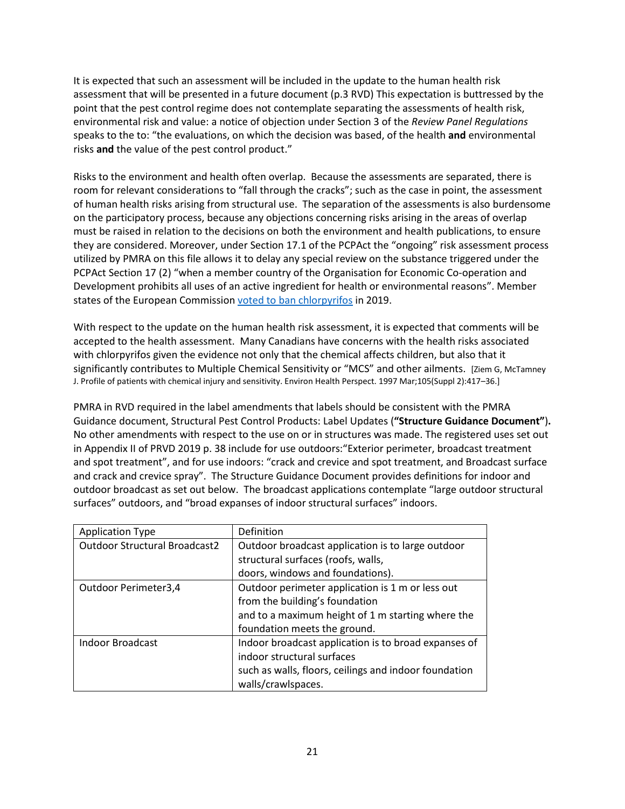It is expected that such an assessment will be included in the update to the human health risk assessment that will be presented in a future document (p.3 RVD) This expectation is buttressed by the point that the pest control regime does not contemplate separating the assessments of health risk, environmental risk and value: a notice of objection under Section 3 of the *Review Panel Regulations* speaks to the to: "the evaluations, on which the decision was based, of the health **and** environmental risks **and** the value of the pest control product."

Risks to the environment and health often overlap. Because the assessments are separated, there is room for relevant considerations to "fall through the cracks"; such as the case in point, the assessment of human health risks arising from structural use. The separation of the assessments is also burdensome on the participatory process, because any objections concerning risks arising in the areas of overlap must be raised in relation to the decisions on both the environment and health publications, to ensure they are considered. Moreover, under Section 17.1 of the PCPAct the "ongoing" risk assessment process utilized by PMRA on this file allows it to delay any special review on the substance triggered under the PCPAct Section 17 (2) "when a member country of the Organisation for Economic Co-operation and Development prohibits all uses of an active ingredient for health or environmental reasons". Member states of the European Commission [voted to ban chlorpyrifos](https://ec.europa.eu/food/plant/pesticides/approval_active_substances/chlorpyrifos_chlorpyrifos-methyl_e) in 2019.

With respect to the update on the human health risk assessment, it is expected that comments will be accepted to the health assessment. Many Canadians have concerns with the health risks associated with chlorpyrifos given the evidence not only that the chemical affects children, but also that it significantly contributes to Multiple Chemical Sensitivity or "MCS" and other ailments. [Ziem G, McTamney J. Profile of patients with chemical injury and sensitivity. Environ Health Perspect. 1997 Mar;105(Suppl 2):417–36.]

PMRA in RVD required in the label amendments that labels should be consistent with the PMRA Guidance document, Structural Pest Control Products: Label Updates (**"Structure Guidance Document"**)**.** No other amendments with respect to the use on or in structures was made. The registered uses set out in Appendix II of PRVD 2019 p. 38 include for use outdoors:"Exterior perimeter, broadcast treatment and spot treatment", and for use indoors: "crack and crevice and spot treatment, and Broadcast surface and crack and crevice spray". The Structure Guidance Document provides definitions for indoor and outdoor broadcast as set out below. The broadcast applications contemplate "large outdoor structural surfaces" outdoors, and "broad expanses of indoor structural surfaces" indoors.

| <b>Application Type</b>              | Definition                                            |
|--------------------------------------|-------------------------------------------------------|
| <b>Outdoor Structural Broadcast2</b> | Outdoor broadcast application is to large outdoor     |
|                                      | structural surfaces (roofs, walls,                    |
|                                      | doors, windows and foundations).                      |
| Outdoor Perimeter3,4                 | Outdoor perimeter application is 1 m or less out      |
|                                      | from the building's foundation                        |
|                                      | and to a maximum height of 1 m starting where the     |
|                                      | foundation meets the ground.                          |
| Indoor Broadcast                     | Indoor broadcast application is to broad expanses of  |
|                                      | indoor structural surfaces                            |
|                                      | such as walls, floors, ceilings and indoor foundation |
|                                      | walls/crawlspaces.                                    |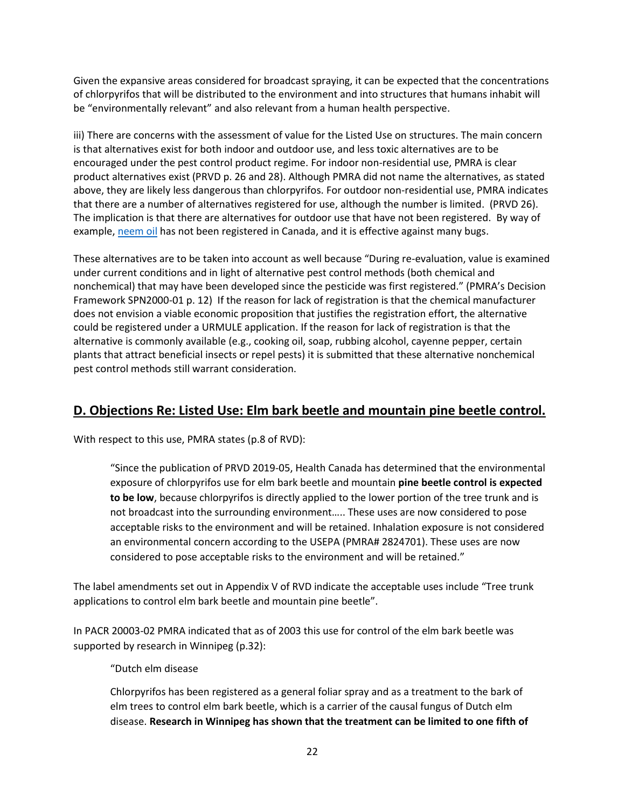Given the expansive areas considered for broadcast spraying, it can be expected that the concentrations of chlorpyrifos that will be distributed to the environment and into structures that humans inhabit will be "environmentally relevant" and also relevant from a human health perspective.

iii) There are concerns with the assessment of value for the Listed Use on structures. The main concern is that alternatives exist for both indoor and outdoor use, and less toxic alternatives are to be encouraged under the pest control product regime. For indoor non-residential use, PMRA is clear product alternatives exist (PRVD p. 26 and 28). Although PMRA did not name the alternatives, as stated above, they are likely less dangerous than chlorpyrifos. For outdoor non-residential use, PMRA indicates that there are a number of alternatives registered for use, although the number is limited. (PRVD 26). The implication is that there are alternatives for outdoor use that have not been registered. By way of example, [neem oil](http://npic.orst.edu/factsheets/neemgen.html) has not been registered in Canada, and it is effective against many bugs.

These alternatives are to be taken into account as well because "During re-evaluation, value is examined under current conditions and in light of alternative pest control methods (both chemical and nonchemical) that may have been developed since the pesticide was first registered." (PMRA's Decision Framework SPN2000-01 p. 12) If the reason for lack of registration is that the chemical manufacturer does not envision a viable economic proposition that justifies the registration effort, the alternative could be registered under a URMULE application. If the reason for lack of registration is that the alternative is commonly available (e.g., cooking oil, soap, rubbing alcohol, cayenne pepper, certain plants that attract beneficial insects or repel pests) it is submitted that these alternative nonchemical pest control methods still warrant consideration.

## **D. Objections Re: Listed Use: Elm bark beetle and mountain pine beetle control.**

With respect to this use, PMRA states (p.8 of RVD):

"Since the publication of PRVD 2019-05, Health Canada has determined that the environmental exposure of chlorpyrifos use for elm bark beetle and mountain **pine beetle control is expected to be low**, because chlorpyrifos is directly applied to the lower portion of the tree trunk and is not broadcast into the surrounding environment….. These uses are now considered to pose acceptable risks to the environment and will be retained. Inhalation exposure is not considered an environmental concern according to the USEPA (PMRA# 2824701). These uses are now considered to pose acceptable risks to the environment and will be retained."

The label amendments set out in Appendix V of RVD indicate the acceptable uses include "Tree trunk applications to control elm bark beetle and mountain pine beetle".

In PACR 20003-02 PMRA indicated that as of 2003 this use for control of the elm bark beetle was supported by research in Winnipeg (p.32):

"Dutch elm disease

Chlorpyrifos has been registered as a general foliar spray and as a treatment to the bark of elm trees to control elm bark beetle, which is a carrier of the causal fungus of Dutch elm disease. **Research in Winnipeg has shown that the treatment can be limited to one fifth of**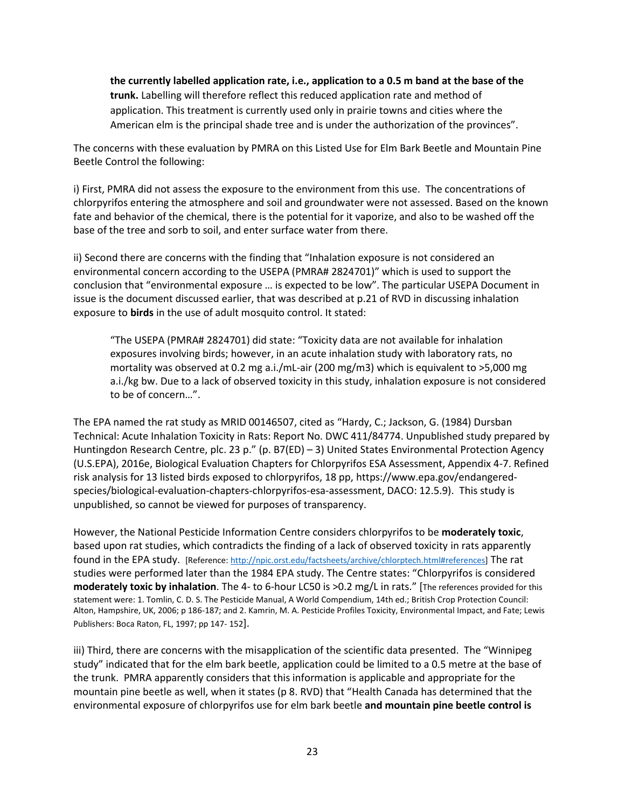**the currently labelled application rate, i.e., application to a 0.5 m band at the base of the trunk.** Labelling will therefore reflect this reduced application rate and method of application. This treatment is currently used only in prairie towns and cities where the American elm is the principal shade tree and is under the authorization of the provinces".

The concerns with these evaluation by PMRA on this Listed Use for Elm Bark Beetle and Mountain Pine Beetle Control the following:

i) First, PMRA did not assess the exposure to the environment from this use. The concentrations of chlorpyrifos entering the atmosphere and soil and groundwater were not assessed. Based on the known fate and behavior of the chemical, there is the potential for it vaporize, and also to be washed off the base of the tree and sorb to soil, and enter surface water from there.

ii) Second there are concerns with the finding that "Inhalation exposure is not considered an environmental concern according to the USEPA (PMRA# 2824701)" which is used to support the conclusion that "environmental exposure … is expected to be low". The particular USEPA Document in issue is the document discussed earlier, that was described at p.21 of RVD in discussing inhalation exposure to **birds** in the use of adult mosquito control. It stated:

"The USEPA (PMRA# 2824701) did state: "Toxicity data are not available for inhalation exposures involving birds; however, in an acute inhalation study with laboratory rats, no mortality was observed at 0.2 mg a.i./mL-air (200 mg/m3) which is equivalent to >5,000 mg a.i./kg bw. Due to a lack of observed toxicity in this study, inhalation exposure is not considered to be of concern…".

The EPA named the rat study as MRID 00146507, cited as "Hardy, C.; Jackson, G. (1984) Dursban Technical: Acute Inhalation Toxicity in Rats: Report No. DWC 411/84774. Unpublished study prepared by Huntingdon Research Centre, plc. 23 p." (p. B7(ED) - 3) United States Environmental Protection Agency (U.S.EPA), 2016e, Biological Evaluation Chapters for Chlorpyrifos ESA Assessment, Appendix 4-7. Refined risk analysis for 13 listed birds exposed to chlorpyrifos, 18 pp, [https://www.epa.gov/endangered](https://www.epa.gov/endangered-species/biological-evaluation-chapters-chlorpyrifos-esa-assessment)[species/biological-evaluation-chapters-chlorpyrifos-esa-assessment,](https://www.epa.gov/endangered-species/biological-evaluation-chapters-chlorpyrifos-esa-assessment) DACO: 12.5.9). This study is unpublished, so cannot be viewed for purposes of transparency.

However, the National Pesticide Information Centre considers chlorpyrifos to be **moderately toxic**, based upon rat studies, which contradicts the finding of a lack of observed toxicity in rats apparently found in the EPA study. [Reference: [http://npic.orst.edu/factsheets/archive/chlorptech.html#references\]](http://npic.orst.edu/factsheets/archive/chlorptech.html#references) The rat studies were performed later than the 1984 EPA study. The Centre states: "Chlorpyrifos is considered **moderately toxic by inhalation**. The 4- to 6-hour LC50 is >0.2 mg/L in rats." [The references provided for this statement were: 1. Tomlin, C. D. S. The Pesticide Manual, A World Compendium, 14th ed.; British Crop Protection Council: Alton, Hampshire, UK, 2006; p 186-187; and 2. Kamrin, M. A. Pesticide Profiles Toxicity, Environmental Impact, and Fate; Lewis Publishers: Boca Raton, FL, 1997; pp 147- 152].

iii) Third, there are concerns with the misapplication of the scientific data presented. The "Winnipeg study" indicated that for the elm bark beetle, application could be limited to a 0.5 metre at the base of the trunk. PMRA apparently considers that this information is applicable and appropriate for the mountain pine beetle as well, when it states (p 8. RVD) that "Health Canada has determined that the environmental exposure of chlorpyrifos use for elm bark beetle **and mountain pine beetle control is**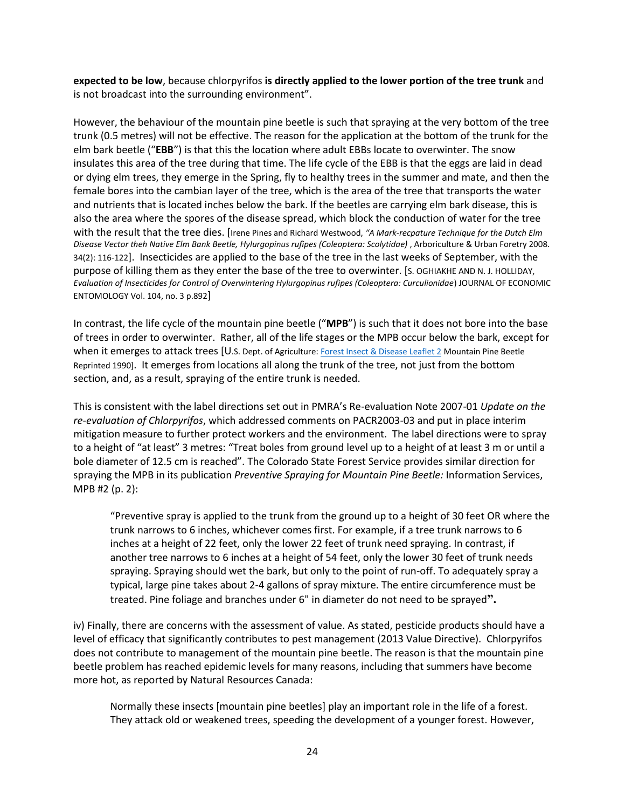**expected to be low**, because chlorpyrifos **is directly applied to the lower portion of the tree trunk** and is not broadcast into the surrounding environment".

However, the behaviour of the mountain pine beetle is such that spraying at the very bottom of the tree trunk (0.5 metres) will not be effective. The reason for the application at the bottom of the trunk for the elm bark beetle ("**EBB**") is that this the location where adult EBBs locate to overwinter. The snow insulates this area of the tree during that time. The life cycle of the EBB is that the eggs are laid in dead or dying elm trees, they emerge in the Spring, fly to healthy trees in the summer and mate, and then the female bores into the cambian layer of the tree, which is the area of the tree that transports the water and nutrients that is located inches below the bark. If the beetles are carrying elm bark disease, this is also the area where the spores of the disease spread, which block the conduction of water for the tree with the result that the tree dies. [Irene Pines and Richard Westwood, *"A Mark-recpature Technique for the Dutch Elm Disease Vector theh Native Elm Bank Beetle, Hylurgopinus rufipes (Coleoptera: Scolytidae)* , Arboriculture & Urban Foretry 2008. 34(2): 116-122]. Insecticides are applied to the base of the tree in the last weeks of September, with the purpose of killing them as they enter the base of the tree to overwinter. [S. OGHIAKHE AND N. J. HOLLIDAY, *Evaluation of Insecticides for Control of Overwintering Hylurgopinus rufipes (Coleoptera: Curculionidae*) JOURNAL OF ECONOMIC ENTOMOLOGY Vol. 104, no. 3 p.892]

In contrast, the life cycle of the mountain pine beetle ("**MPB**") is such that it does not bore into the base of trees in order to overwinter. Rather, all of the life stages or the MPB occur below the bark, except for when it emerges to attack trees [U.S. Dept. of Agriculture[: Forest Insect & Disease Leaflet 2](https://www.barkbeetles.org/mountain/fidl2.htm) Mountain Pine Beetle Reprinted 1990]. It emerges from locations all along the trunk of the tree, not just from the bottom section, and, as a result, spraying of the entire trunk is needed.

This is consistent with the label directions set out in PMRA's Re-evaluation Note 2007-01 *Update on the re-evaluation of Chlorpyrifos*, which addressed comments on PACR2003-03 and put in place interim mitigation measure to further protect workers and the environment. The label directions were to spray to a height of "at least" 3 metres: "Treat boles from ground level up to a height of at least 3 m or until a bole diameter of 12.5 cm is reached". The Colorado State Forest Service provides similar direction for spraying the MPB in its publication *Preventive Spraying for Mountain Pine Beetle:* Information Services, MPB #2 (p. 2):

"Preventive spray is applied to the trunk from the ground up to a height of 30 feet OR where the trunk narrows to 6 inches, whichever comes first. For example, if a tree trunk narrows to 6 inches at a height of 22 feet, only the lower 22 feet of trunk need spraying. In contrast, if another tree narrows to 6 inches at a height of 54 feet, only the lower 30 feet of trunk needs spraying. Spraying should wet the bark, but only to the point of run-off. To adequately spray a typical, large pine takes about 2-4 gallons of spray mixture. The entire circumference must be treated. Pine foliage and branches under 6" in diameter do not need to be sprayed**".**

iv) Finally, there are concerns with the assessment of value. As stated, pesticide products should have a level of efficacy that significantly contributes to pest management (2013 Value Directive). Chlorpyrifos does not contribute to management of the mountain pine beetle. The reason is that the mountain pine beetle problem has reached epidemic levels for many reasons, including that summers have become more hot, as reported by Natural Resources Canada:

Normally these insects [mountain pine beetles] play an important role in the life of a forest. They attack old or weakened trees, speeding the development of a younger forest. However,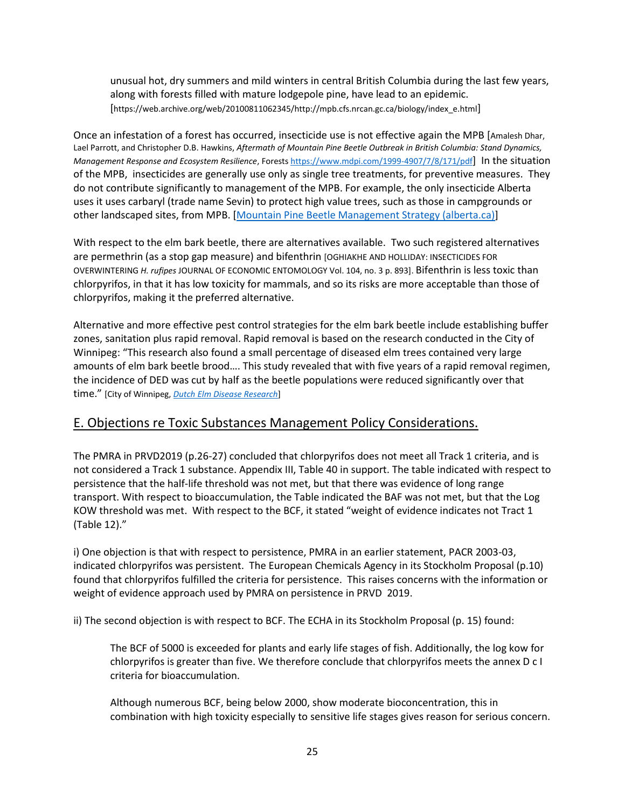unusual hot, dry summers and mild winters in central British Columbia during the last few years, along with forests filled with mature lodgepole pine, have lead to an epidemic. [https://web.archive.org/web/20100811062345/http://mpb.cfs.nrcan.gc.ca/biology/index\_e.html]

Once an infestation of a forest has occurred, insecticide use is not effective again the MPB [Amalesh Dhar, Lael Parrott, and Christopher D.B. Hawkins, *Aftermath of Mountain Pine Beetle Outbreak in British Columbia: Stand Dynamics, Management Response and Ecosystem Resilience*, Forests<https://www.mdpi.com/1999-4907/7/8/171/pdf>] In the situation of the MPB, insecticides are generally use only as single tree treatments, for preventive measures. They do not contribute significantly to management of the MPB. For example, the only insecticide Alberta uses it uses carbaryl (trade name Sevin) to protect high value trees, such as those in campgrounds or other landscaped sites, from MPB. [\[Mountain Pine Beetle Management Strategy \(alberta.ca\)\]](https://open.alberta.ca/dataset/68b62d2d-98f3-4750-815a-ba5dac44fb68/resource/4dd889d3-441e-43fd-b39e-4c90ec4bb123/download/mpb-managementstrategy-dec2007.pdf)

With respect to the elm bark beetle, there are alternatives available. Two such registered alternatives are permethrin (as a stop gap measure) and bifenthrin [OGHIAKHE AND HOLLIDAY: INSECTICIDES FOR OVERWINTERING *H. rufipes* JOURNAL OF ECONOMIC ENTOMOLOGY Vol. 104, no. 3 p. 893]. Bifenthrin is less toxic than chlorpyrifos, in that it has low toxicity for mammals, and so its risks are more acceptable than those of chlorpyrifos, making it the preferred alternative.

Alternative and more effective pest control strategies for the elm bark beetle include establishing buffer zones, sanitation plus rapid removal. Rapid removal is based on the research conducted in the City of Winnipeg: "This research also found a small percentage of diseased elm trees contained very large amounts of elm bark beetle brood…. This study revealed that with five years of a rapid removal regimen, the incidence of DED was cut by half as the beetle populations were reduced significantly over that time." [City of Winnipeg, *[Dutch Elm Disease Research](https://winnipeg.ca/publicworks/parksOpenSpace/UrbanForestry/DED.stm#8)*]

## E. Objections re Toxic Substances Management Policy Considerations.

The PMRA in PRVD2019 (p.26-27) concluded that chlorpyrifos does not meet all Track 1 criteria, and is not considered a Track 1 substance. Appendix III, Table 40 in support. The table indicated with respect to persistence that the half-life threshold was not met, but that there was evidence of long range transport. With respect to bioaccumulation, the Table indicated the BAF was not met, but that the Log KOW threshold was met. With respect to the BCF, it stated "weight of evidence indicates not Tract 1 (Table 12)."

i) One objection is that with respect to persistence, PMRA in an earlier statement, PACR 2003-03, indicated chlorpyrifos was persistent. The European Chemicals Agency in its Stockholm Proposal (p.10) found that chlorpyrifos fulfilled the criteria for persistence. This raises concerns with the information or weight of evidence approach used by PMRA on persistence in PRVD 2019.

ii) The second objection is with respect to BCF. The ECHA in its Stockholm Proposal (p. 15) found:

The BCF of 5000 is exceeded for plants and early life stages of fish. Additionally, the log kow for chlorpyrifos is greater than five. We therefore conclude that chlorpyrifos meets the annex D c I criteria for bioaccumulation.

Although numerous BCF, being below 2000, show moderate bioconcentration, this in combination with high toxicity especially to sensitive life stages gives reason for serious concern.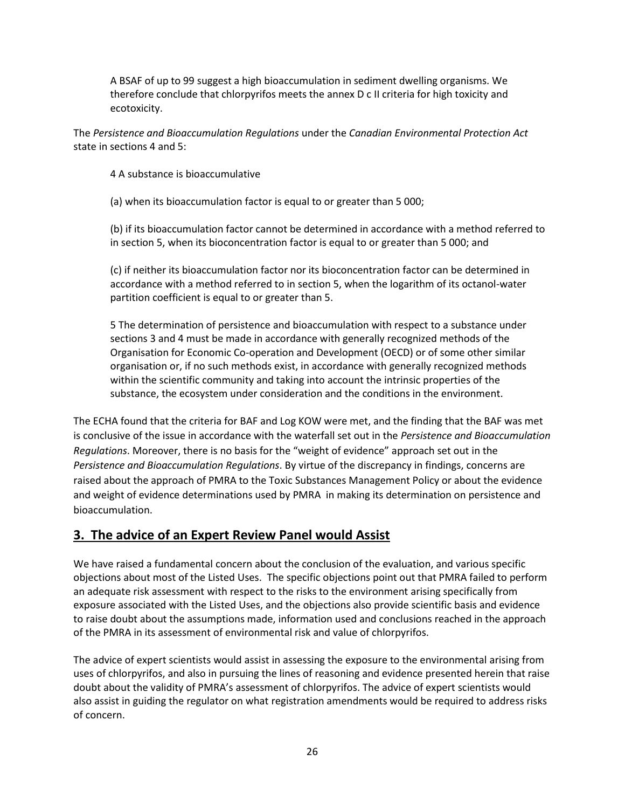A BSAF of up to 99 suggest a high bioaccumulation in sediment dwelling organisms. We therefore conclude that chlorpyrifos meets the annex D c II criteria for high toxicity and ecotoxicity.

The *Persistence and Bioaccumulation Regulations* under the *Canadian Environmental Protection Act*  state in sections 4 and 5:

4 A substance is bioaccumulative

(a) when its bioaccumulation factor is equal to or greater than 5 000;

(b) if its bioaccumulation factor cannot be determined in accordance with a method referred to in section 5, when its bioconcentration factor is equal to or greater than 5 000; and

(c) if neither its bioaccumulation factor nor its bioconcentration factor can be determined in accordance with a method referred to in section 5, when the logarithm of its octanol-water partition coefficient is equal to or greater than 5.

5 The determination of persistence and bioaccumulation with respect to a substance under sections 3 and 4 must be made in accordance with generally recognized methods of the Organisation for Economic Co-operation and Development (OECD) or of some other similar organisation or, if no such methods exist, in accordance with generally recognized methods within the scientific community and taking into account the intrinsic properties of the substance, the ecosystem under consideration and the conditions in the environment.

The ECHA found that the criteria for BAF and Log KOW were met, and the finding that the BAF was met is conclusive of the issue in accordance with the waterfall set out in the *Persistence and Bioaccumulation Regulations*. Moreover, there is no basis for the "weight of evidence" approach set out in the *Persistence and Bioaccumulation Regulations*. By virtue of the discrepancy in findings, concerns are raised about the approach of PMRA to the Toxic Substances Management Policy or about the evidence and weight of evidence determinations used by PMRA in making its determination on persistence and bioaccumulation.

## **3. The advice of an Expert Review Panel would Assist**

We have raised a fundamental concern about the conclusion of the evaluation, and various specific objections about most of the Listed Uses. The specific objections point out that PMRA failed to perform an adequate risk assessment with respect to the risks to the environment arising specifically from exposure associated with the Listed Uses, and the objections also provide scientific basis and evidence to raise doubt about the assumptions made, information used and conclusions reached in the approach of the PMRA in its assessment of environmental risk and value of chlorpyrifos.

The advice of expert scientists would assist in assessing the exposure to the environmental arising from uses of chlorpyrifos, and also in pursuing the lines of reasoning and evidence presented herein that raise doubt about the validity of PMRA's assessment of chlorpyrifos. The advice of expert scientists would also assist in guiding the regulator on what registration amendments would be required to address risks of concern.